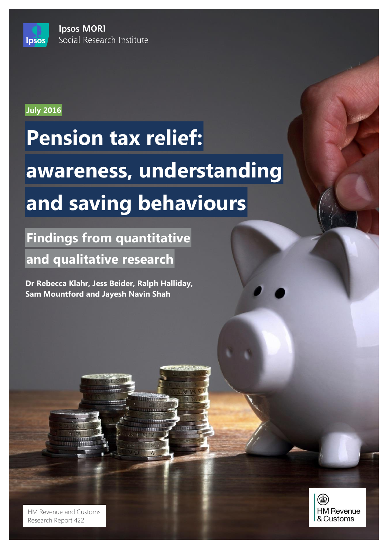**Ipsos MORI** Social Research Institute



**Ipsos** 

# **Pension tax relief: awareness, understanding and saving behaviours**

**Findings from quantitative and qualitative research**

**Dr Rebecca Klahr, Jess Beider, Ralph Halliday, Sam Mountford and Jayesh Navin Shah**

 $T$  is accordance with the requirements of the international quality standard for  $M$ and with the Ipsos MORI Terms and Conditions which can be found at http://www.ipsos-mori.com/terms. © Crown Copyright 2016 HM Revenue and Customs Research Report 422

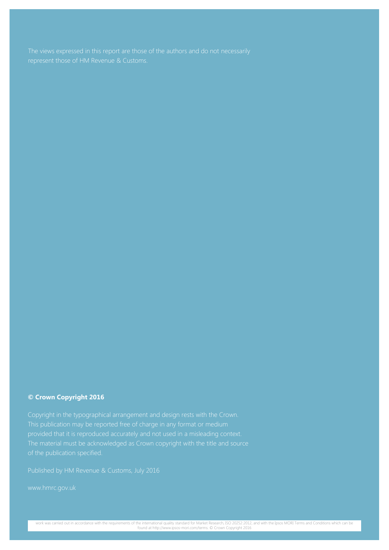#### **© Crown Copyright 2016**

Copyright in the typographical arrangement and design rests with the Crown.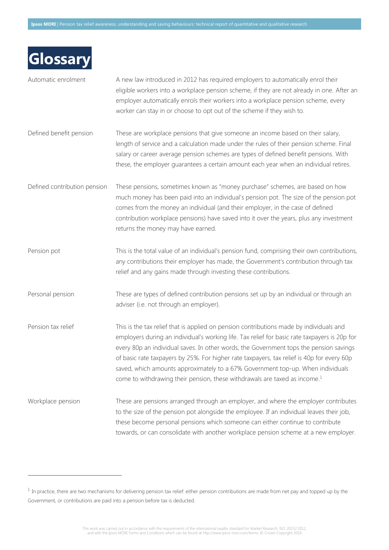| Glossary                     |                                                                                                                                                                                                                                                                                                                                                                                                                                                                                                                                                               |
|------------------------------|---------------------------------------------------------------------------------------------------------------------------------------------------------------------------------------------------------------------------------------------------------------------------------------------------------------------------------------------------------------------------------------------------------------------------------------------------------------------------------------------------------------------------------------------------------------|
| Automatic enrolment          | A new law introduced in 2012 has required employers to automatically enrol their<br>eligible workers into a workplace pension scheme, if they are not already in one. After an<br>employer automatically enrols their workers into a workplace pension scheme, every<br>worker can stay in or choose to opt out of the scheme if they wish to.                                                                                                                                                                                                                |
| Defined benefit pension      | These are workplace pensions that give someone an income based on their salary,<br>length of service and a calculation made under the rules of their pension scheme. Final<br>salary or career average pension schemes are types of defined benefit pensions. With<br>these, the employer guarantees a certain amount each year when an individual retires.                                                                                                                                                                                                   |
| Defined contribution pension | These pensions, sometimes known as "money purchase" schemes, are based on how<br>much money has been paid into an individual's pension pot. The size of the pension pot<br>comes from the money an individual (and their employer, in the case of defined<br>contribution workplace pensions) have saved into it over the years, plus any investment<br>returns the money may have earned.                                                                                                                                                                    |
| Pension pot                  | This is the total value of an individual's pension fund, comprising their own contributions,<br>any contributions their employer has made, the Government's contribution through tax<br>relief and any gains made through investing these contributions.                                                                                                                                                                                                                                                                                                      |
| Personal pension             | These are types of defined contribution pensions set up by an individual or through an<br>adviser (i.e. not through an employer).                                                                                                                                                                                                                                                                                                                                                                                                                             |
| Pension tax relief           | This is the tax relief that is applied on pension contributions made by individuals and<br>employers during an individual's working life. Tax relief for basic rate taxpayers is 20p for<br>every 80p an individual saves. In other words, the Government tops the pension savings<br>of basic rate taxpayers by 25%. For higher rate taxpayers, tax relief is 40p for every 60p<br>saved, which amounts approximately to a 67% Government top-up. When individuals<br>come to withdrawing their pension, these withdrawals are taxed as income. <sup>1</sup> |
| Workplace pension            | These are pensions arranged through an employer, and where the employer contributes<br>to the size of the pension pot alongside the employee. If an individual leaves their job,<br>these become personal pensions which someone can either continue to contribute<br>towards, or can consolidate with another workplace pension scheme at a new employer.                                                                                                                                                                                                    |

 $\overline{a}$ 

This work was carried out in accordance with the requirements of the international quality standard for Market Research, ISO 20252:2012,<br>This work was and Sonditions which can be found at http://www.ipsos-mori.com/terms. ©

 $<sup>1</sup>$  In practice, there are two mechanisms for delivering pension tax relief: either pension contributions are made from net pay and topped up by the</sup> Government, or contributions are paid into a pension before tax is deducted.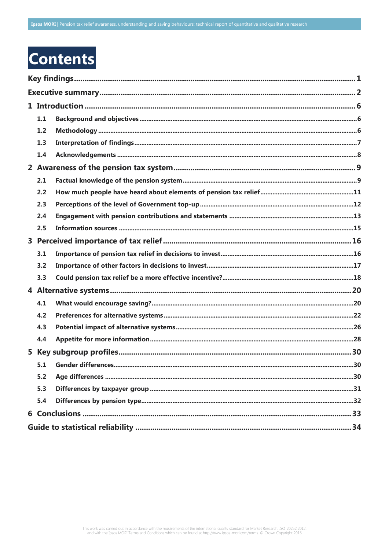## **Contents**

| 1.1 |  |  |
|-----|--|--|
| 1.2 |  |  |
| 1.3 |  |  |
| 1.4 |  |  |
|     |  |  |
| 2.1 |  |  |
| 2.2 |  |  |
| 2.3 |  |  |
| 2.4 |  |  |
| 2.5 |  |  |
|     |  |  |
| 3.1 |  |  |
| 3.2 |  |  |
| 3.3 |  |  |
|     |  |  |
| 4.1 |  |  |
| 4.2 |  |  |
| 4.3 |  |  |
| 4.4 |  |  |
|     |  |  |
| 5.1 |  |  |
| 5.2 |  |  |
| 5.3 |  |  |
| 5.4 |  |  |
|     |  |  |
|     |  |  |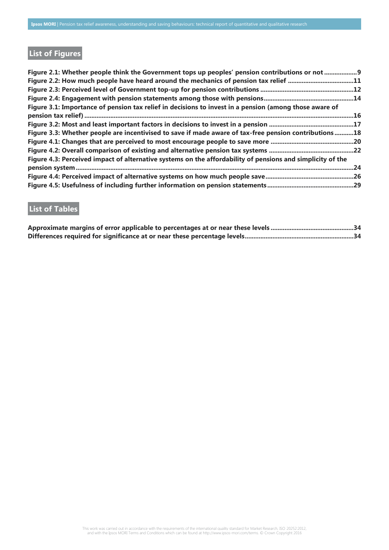## **List of Figures**

| Figure 2.1: Whether people think the Government tops up peoples' pension contributions or not  9           |  |
|------------------------------------------------------------------------------------------------------------|--|
| Figure 2.2: How much people have heard around the mechanics of pension tax relief 11                       |  |
|                                                                                                            |  |
|                                                                                                            |  |
| Figure 3.1: Importance of pension tax relief in decisions to invest in a pension (among those aware of     |  |
|                                                                                                            |  |
|                                                                                                            |  |
| Figure 3.3: Whether people are incentivised to save if made aware of tax-free pension contributions18      |  |
|                                                                                                            |  |
|                                                                                                            |  |
| Figure 4.3: Perceived impact of alternative systems on the affordability of pensions and simplicity of the |  |
|                                                                                                            |  |
|                                                                                                            |  |
|                                                                                                            |  |

## **List of Tables**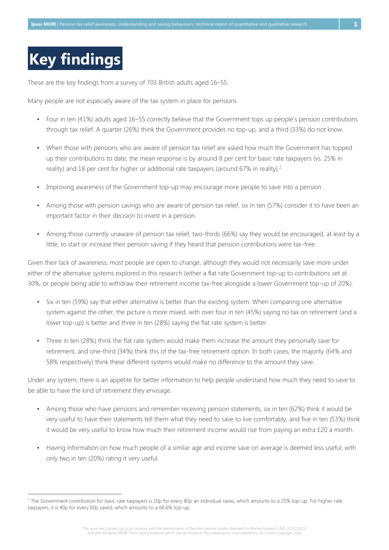## <span id="page-5-0"></span>**Key findings**

 $\overline{a}$ 

These are the key findings from a survey of 703 British adults aged 16–55.

Many people are not especially aware of the tax system in place for pensions.

- Four in ten (41%) adults aged 16–55 correctly believe that the Government tops up people's pension contributions through tax relief. A quarter (26%) think the Government provides no top-up, and a third (33%) do not know.
- When those with pensions who are aware of pension tax relief are asked how much the Government has topped up their contributions to date, the mean response is by around 8 per cent for basic rate taxpayers (vs. 25% in reality) and 18 per cent for higher or additional rate taxpayers (around 67% in reality).<sup>2</sup>
- Improving awareness of the Government top-up may encourage more people to save into a pension.
- Among those with pension savings who are aware of pension tax relief, six in ten (57%) consider it to have been an important factor in their decision to invest in a pension.
- Among those currently unaware of pension tax relief, two-thirds (66%) say they would be encouraged, at least by a little, to start or increase their pension saving if they heard that pension contributions were tax-free.

Given their lack of awareness, most people are open to change, although they would not necessarily save more under either of the alternative systems explored in this research (either a flat rate Government top-up to contributions set at 30%, or people being able to withdraw their retirement income tax-free alongside a lower Government top-up of 20%).

- Six in ten (59%) say that either alternative is better than the existing system. When comparing one alternative system against the other, the picture is more mixed, with over four in ten (45%) saying no tax on retirement (and a lower top-up) is better and three in ten (28%) saying the flat rate system is better.
- Three in ten (28%) think the flat rate system would make them increase the amount they personally save for retirement, and one-third (34%) think this of the tax-free retirement option. In both cases, the majority (64% and 58% respectively) think these different systems would make no difference to the amount they save.

Under any system, there is an appetite for better information to help people understand how much they need to save to be able to have the kind of retirement they envisage.

- Among those who have pensions and remember receiving pension statements, six in ten (62%) think it would be very useful to have their statements tell them what they need to save to live comfortably, and five in ten (53%) think it would be very useful to know how much their retirement income would rise from paying an extra £20 a month.
- Having information on how much people of a similar age and income save on average is deemed less useful, with only two in ten (20%) rating it very useful.

<sup>&</sup>lt;sup>2</sup> The Government contribution for basic rate taxpayers is 20p for every 80p an individual saves, which amounts to a 25% top-up. For higher rate taxpayers, it is 40p for every 60p saved, which amounts to a 66.6% top-up.

This work was carried out in accordance with the requirements of the international quality standard for Market Research, ISO 20252:2012,<br>This work was and Sonditions which can be found at http://www.ipsos-mori.com/terms. ©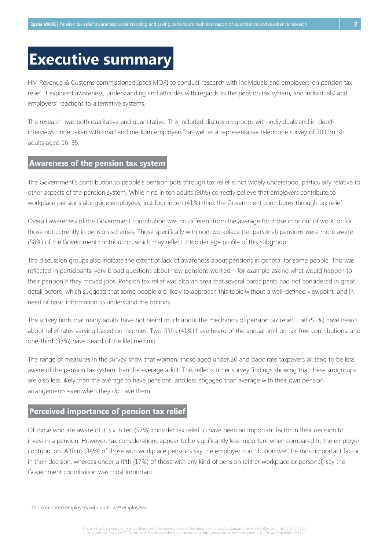## <span id="page-6-0"></span>**Executive summary**

HM Revenue & Customs commissioned Ipsos MORI to conduct research with individuals and employers on pension tax relief. It explored awareness, understanding and attitudes with regards to the pension tax system, and individuals' and employers' reactions to alternative systems.

The research was both qualitative and quantitative. This included discussion groups with individuals and in-depth interviews undertaken with small and medium employers<sup>3</sup>, as well as a representative telephone survey of 703 British adults aged 16–55.

#### **Awareness of the pension tax system**

The Government's contribution to people's pension pots through tax relief is not widely understood, particularly relative to other aspects of the pension system. While nine in ten adults (90%) correctly believe that employers contribute to workplace pensions alongside employees, just four in ten (41%) think the Government contributes through tax relief.

Overall awareness of the Government contribution was no different from the average for those in or out of work, or for those not currently in pension schemes. Those specifically with non-workplace (i.e. personal) pensions were more aware (58%) of the Government contribution, which may reflect the older age profile of this subgroup.

The discussion groups also indicate the extent of lack of awareness about pensions in general for some people. This was reflected in participants' very broad questions about how pensions worked – for example asking what would happen to their pension if they moved jobs. Pension tax relief was also an area that several participants had not considered in great detail before, which suggests that some people are likely to approach this topic without a well-defined viewpoint, and in need of basic information to understand the options.

The survey finds that many adults have not heard much about the mechanics of pension tax relief. Half (51%) have heard about relief rates varying based on incomes. Two-fifths (41%) have heard of the annual limit on tax-free contributions, and one-third (33%) have heard of the lifetime limit.

The range of measures in the survey show that women, those aged under 30 and basic rate taxpayers all tend to be less aware of the pension tax system than the average adult. This reflects other survey findings showing that these subgroups are also less likely than the average to have pensions, and less engaged than average with their own pension arrangements even when they do have them.

### **Perceived importance of pension tax relief**

Of those who are aware of it, six in ten (57%) consider tax relief to have been an important factor in their decision to invest in a pension. However, tax considerations appear to be significantly less important when compared to the employer contribution. A third (34%) of those with workplace pensions say the employer contribution was the most important factor in their decision, whereas under a fifth (17%) of those with any kind of pension (either workplace or personal) say the Government contribution was most important.

<sup>&</sup>lt;sup>3</sup> This comprised employers with up to 249 employees.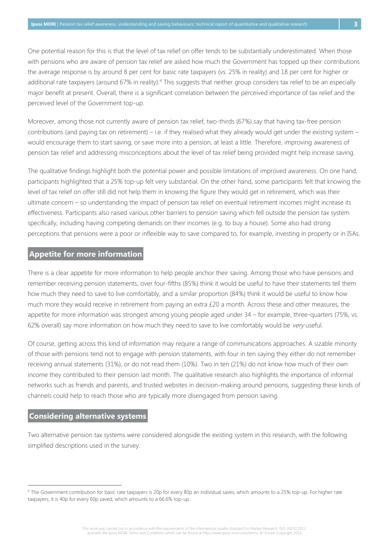One potential reason for this is that the level of tax relief on offer tends to be substantially underestimated. When those with pensions who are aware of pension tax relief are asked how much the Government has topped up their contributions the average response is by around 8 per cent for basic rate taxpayers (vs. 25% in reality) and 18 per cent for higher or additional rate taxpayers (around 67% in reality).<sup>4</sup> This suggests that neither group considers tax relief to be an especially major benefit at present. Overall, there is a significant correlation between the perceived importance of tax relief and the perceived level of the Government top-up.

Moreover, among those not currently aware of pension tax relief, two-thirds (67%) say that having tax-free pension contributions (and paying tax on retirement) – i.e. if they realised what they already would get under the existing system – would encourage them to start saving, or save more into a pension, at least a little. Therefore, improving awareness of pension tax relief and addressing misconceptions about the level of tax relief being provided might help increase saving.

The qualitative findings highlight both the potential power and possible limitations of improved awareness. On one hand, participants highlighted that a 25% top-up felt very substantial. On the other hand, some participants felt that knowing the level of tax relief on offer still did not help them in knowing the figure they would get in retirement, which was their ultimate concern – so understanding the impact of pension tax relief on eventual retirement incomes might increase its effectiveness. Participants also raised various other barriers to pension saving which fell outside the pension tax system specifically, including having competing demands on their incomes (e.g. to buy a house). Some also had strong perceptions that pensions were a poor or inflexible way to save compared to, for example, investing in property or in ISAs.

### **Appetite for more information**

There is a clear appetite for more information to help people anchor their saving. Among those who have pensions and remember receiving pension statements, over four-fifths (85%) think it would be useful to have their statements tell them how much they need to save to live comfortably, and a similar proportion (84%) think it would be useful to know how much more they would receive in retirement from paying an extra £20 a month. Across these and other measures, the appetite for more information was strongest among young people aged under 34 – for example, three-quarters (75%, vs. 62% overall) say more information on how much they need to save to live comfortably would be very useful.

Of course, getting across this kind of information may require a range of communications approaches. A sizable minority of those with pensions tend not to engage with pension statements, with four in ten saying they either do not remember receiving annual statements (31%), or do not read them (10%). Two in ten (21%) do not know how much of their own income they contributed to their pension last month. The qualitative research also highlights the importance of informal networks such as friends and parents, and trusted websites in decision-making around pensions, suggesting these kinds of channels could help to reach those who are typically more disengaged from pension saving.

#### **Considering alternative systems**

 $\overline{a}$ 

Two alternative pension tax systems were considered alongside the existing system in this research, with the following simplified descriptions used in the survey:

<sup>4</sup> The Government contribution for basic rate taxpayers is 20p for every 80p an individual saves, which amounts to a 25% top-up. For higher rate taxpayers, it is 40p for every 60p saved, which amounts to a 66.6% top-up.

This work was carried out in accordance with the requirements of the international quality standard for Market Research, ISO 20252:2012, and with the Ipsos MORI Terms and Conditions which can be found at http://www.ipsos-mori.com/terms. © Crown Copyright 2016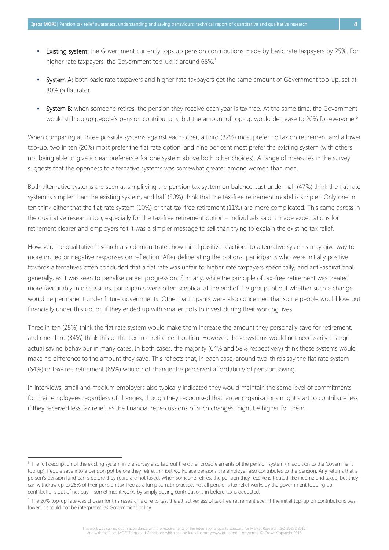- Existing system: the Government currently tops up pension contributions made by basic rate taxpayers by 25%. For higher rate taxpayers, the Government top-up is around 65%.<sup>5</sup>
- **Example 3:** System A: both basic rate taxpayers and higher rate taxpayers get the same amount of Government top-up, set at 30% (a flat rate).
- System B: when someone retires, the pension they receive each year is tax free. At the same time, the Government would still top up people's pension contributions, but the amount of top-up would decrease to 20% for everyone. 6

When comparing all three possible systems against each other, a third (32%) most prefer no tax on retirement and a lower top-up, two in ten (20%) most prefer the flat rate option, and nine per cent most prefer the existing system (with others not being able to give a clear preference for one system above both other choices). A range of measures in the survey suggests that the openness to alternative systems was somewhat greater among women than men.

Both alternative systems are seen as simplifying the pension tax system on balance. Just under half (47%) think the flat rate system is simpler than the existing system, and half (50%) think that the tax-free retirement model is simpler. Only one in ten think either that the flat rate system (10%) or that tax-free retirement (11%) are more complicated. This came across in the qualitative research too, especially for the tax-free retirement option – individuals said it made expectations for retirement clearer and employers felt it was a simpler message to sell than trying to explain the existing tax relief.

However, the qualitative research also demonstrates how initial positive reactions to alternative systems may give way to more muted or negative responses on reflection. After deliberating the options, participants who were initially positive towards alternatives often concluded that a flat rate was unfair to higher rate taxpayers specifically, and anti-aspirational generally, as it was seen to penalise career progression. Similarly, while the principle of tax-free retirement was treated more favourably in discussions, participants were often sceptical at the end of the groups about whether such a change would be permanent under future governments. Other participants were also concerned that some people would lose out financially under this option if they ended up with smaller pots to invest during their working lives.

Three in ten (28%) think the flat rate system would make them increase the amount they personally save for retirement, and one-third (34%) think this of the tax-free retirement option. However, these systems would not necessarily change actual saving behaviour in many cases. In both cases, the majority (64% and 58% respectively) think these systems would make no difference to the amount they save. This reflects that, in each case, around two-thirds say the flat rate system (64%) or tax-free retirement (65%) would not change the perceived affordability of pension saving.

In interviews, small and medium employers also typically indicated they would maintain the same level of commitments for their employees regardless of changes, though they recognised that larger organisations might start to contribute less if they received less tax relief, as the financial repercussions of such changes might be higher for them.

<sup>&</sup>lt;sup>5</sup> The full description of the existing system in the survey also laid out the other broad elements of the pension system (in addition to the Government top-up): People save into a pension pot before they retire. In most workplace pensions the employer also contributes to the pension. Any returns that a person's pension fund earns before they retire are not taxed. When someone retires, the pension they receive is treated like income and taxed, but they can withdraw up to 25% of their pension tax-free as a lump sum. In practice, not all pensions tax relief works by the government topping up contributions out of net pay – sometimes it works by simply paying contributions in before tax is deducted.

<sup>6</sup> The 20% top-up rate was chosen for this research alone to test the attractiveness of tax-free retirement even if the initial top-up on contributions was lower. It should not be interpreted as Government policy.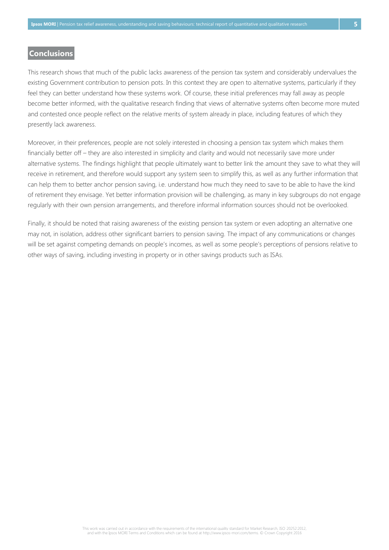### **Conclusions**

This research shows that much of the public lacks awareness of the pension tax system and considerably undervalues the existing Government contribution to pension pots. In this context they are open to alternative systems, particularly if they feel they can better understand how these systems work. Of course, these initial preferences may fall away as people become better informed, with the qualitative research finding that views of alternative systems often become more muted and contested once people reflect on the relative merits of system already in place, including features of which they presently lack awareness.

Moreover, in their preferences, people are not solely interested in choosing a pension tax system which makes them financially better off – they are also interested in simplicity and clarity and would not necessarily save more under alternative systems. The findings highlight that people ultimately want to better link the amount they save to what they will receive in retirement, and therefore would support any system seen to simplify this, as well as any further information that can help them to better anchor pension saving, i.e. understand how much they need to save to be able to have the kind of retirement they envisage. Yet better information provision will be challenging, as many in key subgroups do not engage regularly with their own pension arrangements, and therefore informal information sources should not be overlooked.

Finally, it should be noted that raising awareness of the existing pension tax system or even adopting an alternative one may not, in isolation, address other significant barriers to pension saving. The impact of any communications or changes will be set against competing demands on people's incomes, as well as some people's perceptions of pensions relative to other ways of saving, including investing in property or in other savings products such as ISAs.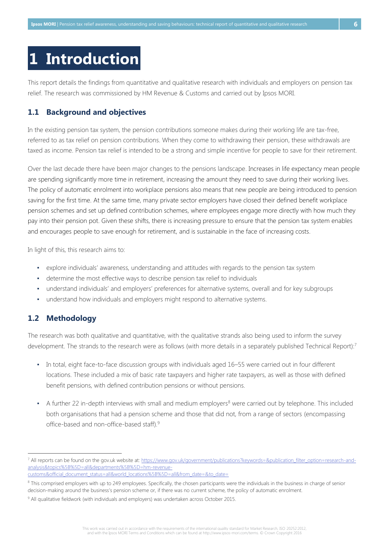## <span id="page-10-0"></span>**1 Introduction**

This report details the findings from quantitative and qualitative research with individuals and employers on pension tax relief. The research was commissioned by HM Revenue & Customs and carried out by Ipsos MORI.

### <span id="page-10-1"></span>**1.1 Background and objectives**

In the existing pension tax system, the pension contributions someone makes during their working life are tax-free, referred to as tax relief on pension contributions. When they come to withdrawing their pension, these withdrawals are taxed as income. Pension tax relief is intended to be a strong and simple incentive for people to save for their retirement.

Over the last decade there have been major changes to the pensions landscape. Increases in life expectancy mean people are spending significantly more time in retirement, increasing the amount they need to save during their working lives. The policy of automatic enrolment into workplace pensions also means that new people are being introduced to pension saving for the first time. At the same time, many private sector employers have closed their defined benefit workplace pension schemes and set up defined contribution schemes, where employees engage more directly with how much they pay into their pension pot. Given these shifts, there is increasing pressure to ensure that the pension tax system enables and encourages people to save enough for retirement, and is sustainable in the face of increasing costs.

In light of this, this research aims to:

- explore individuals' awareness, understanding and attitudes with regards to the pension tax system
- determine the most effective ways to describe pension tax relief to individuals
- understand individuals' and employers' preferences for alternative systems, overall and for key subgroups
- understand how individuals and employers might respond to alternative systems.

## <span id="page-10-2"></span>**1.2 Methodology**

 $\overline{a}$ 

The research was both qualitative and quantitative, with the qualitative strands also being used to inform the survey development. The strands to the research were as follows (with more details in a separately published Technical Report):<sup>7</sup>

- In total, eight face-to-face discussion groups with individuals aged 16–55 were carried out in four different locations. These included a mix of basic rate taxpayers and higher rate taxpayers, as well as those with defined benefit pensions, with defined contribution pensions or without pensions.
- A further 22 in-depth interviews with small and medium employers<sup>8</sup> were carried out by telephone. This included both organisations that had a pension scheme and those that did not, from a range of sectors (encompassing office-based and non-office-based staff). 9

<sup>7</sup> All reports can be found on the gov.uk website at: https://www.gov.uk/government/publications?keywords=&publication filter\_option=research-and[analysis&topics%5B%5D=all&departments%5B%5D=hm-revenue-](https://www.gov.uk/government/publications?keywords=&publication_filter_option=research-and-analysis&topics%5B%5D=all&departments%5B%5D=hm-revenue-customs&official_document_status=all&world_locations%5B%5D=all&from_date=&to_date=)

[customs&official\\_document\\_status=all&world\\_locations%5B%5D=all&from\\_date=&to\\_date=](https://www.gov.uk/government/publications?keywords=&publication_filter_option=research-and-analysis&topics%5B%5D=all&departments%5B%5D=hm-revenue-customs&official_document_status=all&world_locations%5B%5D=all&from_date=&to_date=)

<sup>&</sup>lt;sup>8</sup> This comprised employers with up to 249 employees. Specifically, the chosen participants were the individuals in the business in charge of senior decision-making around the business's pension scheme or, if there was no current scheme, the policy of automatic enrolment.

<sup>&</sup>lt;sup>9</sup> All qualitative fieldwork (with individuals and employers) was undertaken across October 2015.

This work was carried out in accordance with the requirements of the international quality standard for Market Research, ISO 20252:2012, and with the Ipsos MORI Terms and Conditions which can be found at http://www.ipsos-mori.com/terms. © Crown Copyright 2016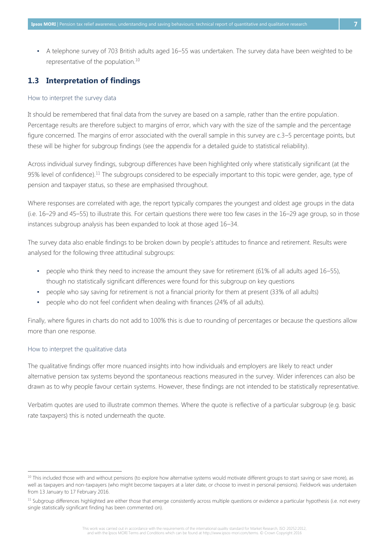▪ A telephone survey of 703 British adults aged 16–55 was undertaken. The survey data have been weighted to be representative of the population.<sup>10</sup>

#### <span id="page-11-0"></span>**1.3 Interpretation of findings**

#### How to interpret the survey data

It should be remembered that final data from the survey are based on a sample, rather than the entire population. Percentage results are therefore subject to margins of error, which vary with the size of the sample and the percentage figure concerned. The margins of error associated with the overall sample in this survey are c.3–5 percentage points, but these will be higher for subgroup findings (see the appendix for a detailed guide to statistical reliability).

Across individual survey findings, subgroup differences have been highlighted only where statistically significant (at the 95% level of confidence).<sup>11</sup> The subgroups considered to be especially important to this topic were gender, age, type of pension and taxpayer status, so these are emphasised throughout.

Where responses are correlated with age, the report typically compares the youngest and oldest age groups in the data (i.e. 16–29 and 45–55) to illustrate this. For certain questions there were too few cases in the 16–29 age group, so in those instances subgroup analysis has been expanded to look at those aged 16–34.

The survey data also enable findings to be broken down by people's attitudes to finance and retirement. Results were analysed for the following three attitudinal subgroups:

- people who think they need to increase the amount they save for retirement (61% of all adults aged 16–55), though no statistically significant differences were found for this subgroup on key questions
- people who say saving for retirement is not a financial priority for them at present (33% of all adults)
- people who do not feel confident when dealing with finances (24% of all adults).

Finally, where figures in charts do not add to 100% this is due to rounding of percentages or because the questions allow more than one response.

#### How to interpret the qualitative data

 $\overline{a}$ 

The qualitative findings offer more nuanced insights into how individuals and employers are likely to react under alternative pension tax systems beyond the spontaneous reactions measured in the survey. Wider inferences can also be drawn as to why people favour certain systems. However, these findings are not intended to be statistically representative.

Verbatim quotes are used to illustrate common themes. Where the quote is reflective of a particular subgroup (e.g. basic rate taxpayers) this is noted underneath the quote.

This work was carried out in accordance with the requirements of the international quality standard for Market Research, ISO 20252:2012, and with the Ipsos MORI Terms and Conditions which can be found at http://www.ipsos-mori.com/terms. © Crown Copyright 2016

<sup>&</sup>lt;sup>10</sup> This included those with and without pensions (to explore how alternative systems would motivate different groups to start saving or save more), as well as taxpayers and non-taxpayers (who might become taxpayers at a later date, or choose to invest in personal pensions). Fieldwork was undertaken from 13 January to 17 February 2016.

<sup>&</sup>lt;sup>11</sup> Subgroup differences highlighted are either those that emerge consistently across multiple questions or evidence a particular hypothesis (i.e. not every single statistically significant finding has been commented on).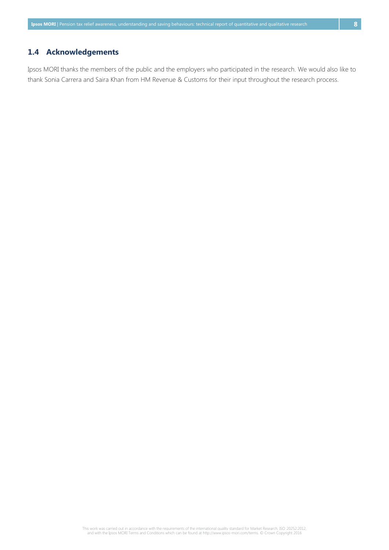## <span id="page-12-0"></span>**1.4 Acknowledgements**

Ipsos MORI thanks the members of the public and the employers who participated in the research. We would also like to thank Sonia Carrera and Saira Khan from HM Revenue & Customs for their input throughout the research process.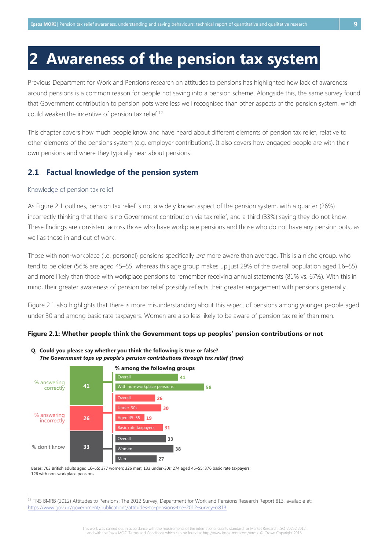## <span id="page-13-0"></span>**2 Awareness of the pension tax system**

Previous Department for Work and Pensions research on attitudes to pensions has highlighted how lack of awareness around pensions is a common reason for people not saving into a pension scheme. Alongside this, the same survey found that Government contribution to pension pots were less well recognised than other aspects of the pension system, which could weaken the incentive of pension tax relief. 12

This chapter covers how much people know and have heard about different elements of pension tax relief, relative to other elements of the pensions system (e.g. employer contributions). It also covers how engaged people are with their own pensions and where they typically hear about pensions.

#### <span id="page-13-1"></span>**2.1 Factual knowledge of the pension system**

#### Knowledge of pension tax relief

 $\overline{a}$ 

As Figure 2.1 outlines, pension tax relief is not a widely known aspect of the pension system, with a quarter (26%) incorrectly thinking that there is no Government contribution via tax relief, and a third (33%) saying they do not know. These findings are consistent across those who have workplace pensions and those who do not have any pension pots, as well as those in and out of work.

Those with non-workplace (i.e. personal) pensions specifically are more aware than average. This is a niche group, who tend to be older (56% are aged 45–55, whereas this age group makes up just 29% of the overall population aged 16–55) and more likely than those with workplace pensions to remember receiving annual statements (81% vs. 67%). With this in mind, their greater awareness of pension tax relief possibly reflects their greater engagement with pensions generally.

Figure 2.1 also highlights that there is more misunderstanding about this aspect of pensions among younger people aged under 30 and among basic rate taxpayers. Women are also less likely to be aware of pension tax relief than men.

#### <span id="page-13-2"></span>**Figure 2.1: Whether people think the Government tops up peoples' pension contributions or not**



**Q. Could you please say whether you think the following is true or false?** *The Government tops up people's pension contributions through tax relief (true)*

Bases: 703 British adults aged 16–55; 377 women; 326 men; 133 under-30s; 274 aged 45–55; 376 basic rate taxpayers; 126 with non-workplace pensions

<sup>&</sup>lt;sup>12</sup> TNS BMRB (2012) Attitudes to Pensions: The 2012 Survey, Department for Work and Pensions Research Report 813, available at: <https://www.gov.uk/government/publications/attitudes-to-pensions-the-2012-survey-rr813>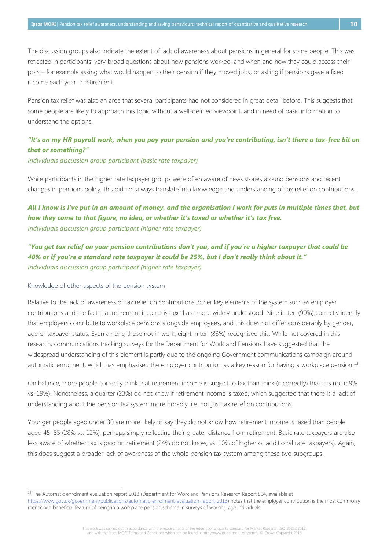The discussion groups also indicate the extent of lack of awareness about pensions in general for some people. This was reflected in participants' very broad questions about how pensions worked, and when and how they could access their pots – for example asking what would happen to their pension if they moved jobs, or asking if pensions gave a fixed income each year in retirement.

Pension tax relief was also an area that several participants had not considered in great detail before. This suggests that some people are likely to approach this topic without a well-defined viewpoint, and in need of basic information to understand the options.

## *"It's on my HR payroll work, when you pay your pension and you're contributing, isn't there a tax-free bit on that or something?"*

#### *Individuals discussion group participant (basic rate taxpayer)*

While participants in the higher rate taxpayer groups were often aware of news stories around pensions and recent changes in pensions policy, this did not always translate into knowledge and understanding of tax relief on contributions.

## *All I know is I've put in an amount of money, and the organisation I work for puts in multiple times that, but how they come to that figure, no idea, or whether it's taxed or whether it's tax free. Individuals discussion group participant (higher rate taxpayer)*

*"You get tax relief on your pension contributions don't you, and if you're a higher taxpayer that could be 40% or if you're a standard rate taxpayer it could be 25%, but I don't really think about it." Individuals discussion group participant (higher rate taxpayer)*

#### Knowledge of other aspects of the pension system

 $\overline{a}$ 

Relative to the lack of awareness of tax relief on contributions, other key elements of the system such as employer contributions and the fact that retirement income is taxed are more widely understood. Nine in ten (90%) correctly identify that employers contribute to workplace pensions alongside employees, and this does not differ considerably by gender, age or taxpayer status. Even among those not in work, eight in ten (83%) recognised this. While not covered in this research, communications tracking surveys for the Department for Work and Pensions have suggested that the widespread understanding of this element is partly due to the ongoing Government communications campaign around automatic enrolment, which has emphasised the employer contribution as a key reason for having a workplace pension.<sup>13</sup>

On balance, more people correctly think that retirement income is subject to tax than think (incorrectly) that it is not (59% vs. 19%). Nonetheless, a quarter (23%) do not know if retirement income is taxed, which suggested that there is a lack of understanding about the pension tax system more broadly, i.e. not just tax relief on contributions.

Younger people aged under 30 are more likely to say they do not know how retirement income is taxed than people aged 45–55 (28% vs. 12%), perhaps simply reflecting their greater distance from retirement. Basic rate taxpayers are also less aware of whether tax is paid on retirement (24% do not know, vs. 10% of higher or additional rate taxpayers). Again, this does suggest a broader lack of awareness of the whole pension tax system among these two subgroups.

This work was carried out in accordance with the requirements of the international quality standard for Market Research, ISO 20252:2012, and with the Ipsos MORI Terms and Conditions which can be found at http://www.ipsos-mori.com/terms. © Crown Copyright 2016

<sup>&</sup>lt;sup>13</sup> The Automatic enrolment evaluation report 2013 (Department for Work and Pensions Research Report 854, available at

[https://www.gov.uk/government/publications/automatic-enrolment-evaluation-report-2013\)](https://www.gov.uk/government/publications/automatic-enrolment-evaluation-report-2013) notes that the employer contribution is the most commonly mentioned beneficial feature of being in a workplace pension scheme in surveys of working age individuals.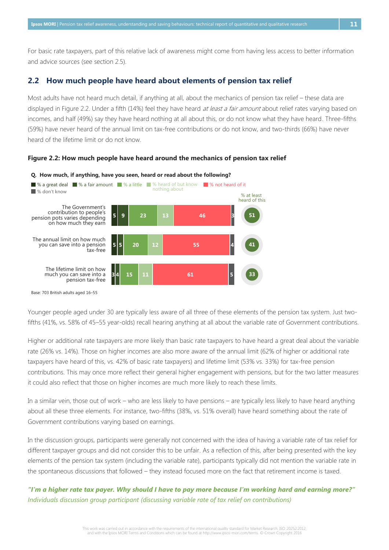For basic rate taxpayers, part of this relative lack of awareness might come from having less access to better information and advice sources (see section 2.5).

#### <span id="page-15-0"></span>**2.2 How much people have heard about elements of pension tax relief**

Most adults have not heard much detail, if anything at all, about the mechanics of pension tax relief – these data are displayed in Figure 2.2. Under a fifth (14%) feel they have heard at least a fair amount about relief rates varying based on incomes, and half (49%) say they have heard nothing at all about this, or do not know what they have heard. Three-fifths (59%) have never heard of the annual limit on tax-free contributions or do not know, and two-thirds (66%) have never heard of the lifetime limit or do not know.

<span id="page-15-1"></span>**Figure 2.2: How much people have heard around the mechanics of pension tax relief**



Base: 703 British adults aged 16–55

Younger people aged under 30 are typically less aware of all three of these elements of the pension tax system. Just twofifths (41%, vs. 58% of 45–55 year-olds) recall hearing anything at all about the variable rate of Government contributions.

Higher or additional rate taxpayers are more likely than basic rate taxpayers to have heard a great deal about the variable rate (26% vs. 14%). Those on higher incomes are also more aware of the annual limit (62% of higher or additional rate taxpayers have heard of this, vs. 42% of basic rate taxpayers) and lifetime limit (53% vs. 33%) for tax-free pension contributions. This may once more reflect their general higher engagement with pensions, but for the two latter measures it could also reflect that those on higher incomes are much more likely to reach these limits.

In a similar vein, those out of work – who are less likely to have pensions – are typically less likely to have heard anything about all these three elements. For instance, two-fifths (38%, vs. 51% overall) have heard something about the rate of Government contributions varying based on earnings.

In the discussion groups, participants were generally not concerned with the idea of having a variable rate of tax relief for different taxpayer groups and did not consider this to be unfair. As a reflection of this, after being presented with the key elements of the pension tax system (including the variable rate), participants typically did not mention the variable rate in the spontaneous discussions that followed – they instead focused more on the fact that retirement income is taxed.

*"I'm a higher rate tax payer. Why should I have to pay more because I'm working hard and earning more?" Individuals discussion group participant (discussing variable rate of tax relief on contributions)*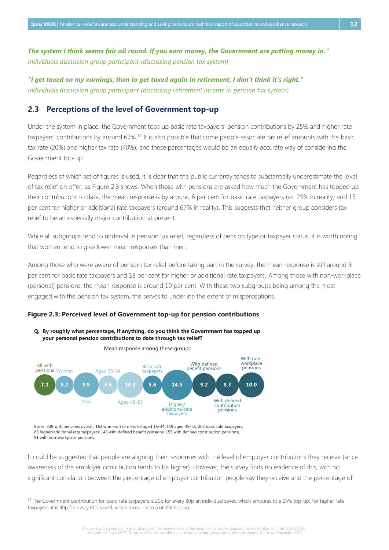*The system I think seems fair all round. If you earn money, the Government are putting money in." Individuals discussion group participant (discussing pension tax system)*

*"I get taxed on my earnings, then to get taxed again in retirement, I don't think it's right." Individuals discussion group participant (discussing retirement income in pension tax system)*

#### <span id="page-16-0"></span>**2.3 Perceptions of the level of Government top-up**

Under the system in place, the Government tops up basic rate taxpayers' pension contributions by 25% and higher rate taxpayers' contributions by around 67%.<sup>14</sup> It is also possible that some people associate tax relief amounts with the basic tax rate (20%) and higher tax rate (40%), and these percentages would be an equally accurate way of considering the Government top-up.

Regardless of which set of figures is used, it is clear that the public currently tends to substantially underestimate the level of tax relief on offer, as Figure 2.3 shows. When those with pensions are asked how much the Government has topped up their contributions to date, the mean response is by around 6 per cent for basic rate taxpayers (vs. 25% in reality) and 15 per cent for higher or additional rate taxpayers (around 67% in reality). This suggests that neither group considers tax relief to be an especially major contribution at present.

While all subgroups tend to undervalue pension tax relief, regardless of pension type or taxpayer status, it is worth noting that women tend to give lower mean responses than men.

Among those who were aware of pension tax relief before taking part in the survey, the mean response is still around 8 per cent for basic rate taxpayers and 18 per cent for higher or additional rate taxpayers. Among those with non-workplace (personal) pensions, the mean response is around 10 per cent. With these two subgroups being among the most engaged with the pension tax system, this serves to underline the extent of misperceptions.

#### <span id="page-16-1"></span>**Figure 2.3: Perceived level of Government top-up for pension contributions**



**Q. By roughly what percentage, if anything, do you think the Government has topped up your personal pension contributions to date through tax relief?**

Bases: 338 with pensions overall; 163 women; 175 men; 68 aged 16–34; 159 aged 45–55; 203 basic rate taxpayers; 83 higher/additional rate taxpayers; 143 with defined benefit pensions; 155 with defined contribution pensions; 91 with non-workplace pensions

 $\overline{a}$ 

It could be suggested that people are aligning their responses with the level of employer contributions they receive (since awareness of the employer contribution tends to be higher). However, the survey finds no evidence of this, with no significant correlation between the percentage of employer contribution people say they receive and the percentage of

This work was carried out in accordance with the requirements of the international quality standard for Market Research, ISO 20252:2012, and with the Ipsos MORI Terms and Conditions which can be found at http://www.ipsos-mori.com/terms. © Crown Copyright 2016

<sup>&</sup>lt;sup>14</sup> The Government contribution for basic rate taxpayers is 20p for every 80p an individual saves, which amounts to a 25% top-up. For higher rate taxpayers, it is 40p for every 60p saved, which amounts to a 66.6% top-up.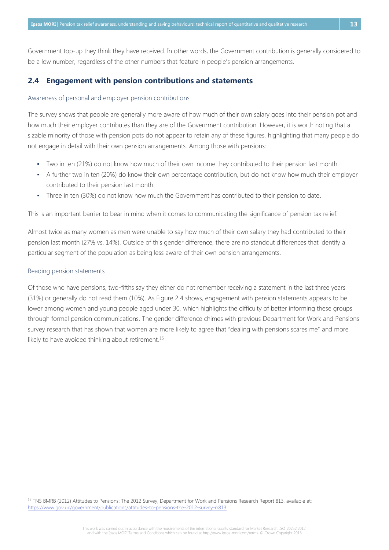Government top-up they think they have received. In other words, the Government contribution is generally considered to be a low number, regardless of the other numbers that feature in people's pension arrangements.

#### <span id="page-17-0"></span>**2.4 Engagement with pension contributions and statements**

#### Awareness of personal and employer pension contributions

The survey shows that people are generally more aware of how much of their own salary goes into their pension pot and how much their employer contributes than they are of the Government contribution. However, it is worth noting that a sizable minority of those with pension pots do not appear to retain any of these figures, highlighting that many people do not engage in detail with their own pension arrangements. Among those with pensions:

- Two in ten (21%) do not know how much of their own income they contributed to their pension last month.
- A further two in ten (20%) do know their own percentage contribution, but do not know how much their employer contributed to their pension last month.
- Three in ten (30%) do not know how much the Government has contributed to their pension to date.

This is an important barrier to bear in mind when it comes to communicating the significance of pension tax relief.

Almost twice as many women as men were unable to say how much of their own salary they had contributed to their pension last month (27% vs. 14%). Outside of this gender difference, there are no standout differences that identify a particular segment of the population as being less aware of their own pension arrangements.

#### Reading pension statements

 $\overline{a}$ 

Of those who have pensions, two-fifths say they either do not remember receiving a statement in the last three years (31%) or generally do not read them (10%). As Figure 2.4 shows, engagement with pension statements appears to be lower among women and young people aged under 30, which highlights the difficulty of better informing these groups through formal pension communications. The gender difference chimes with previous Department for Work and Pensions survey research that has shown that women are more likely to agree that "dealing with pensions scares me" and more likely to have avoided thinking about retirement.<sup>15</sup>

This work was carried out in accordance with the requirements of the international quality standard for Market Research, ISO 20252:2012, and with the Ipsos MORI Terms and Conditions which can be found at http://www.ipsos-mori.com/terms. © Crown Copyright 2016

<sup>15</sup> TNS BMRB (2012) Attitudes to Pensions: The 2012 Survey, Department for Work and Pensions Research Report 813, available at: <https://www.gov.uk/government/publications/attitudes-to-pensions-the-2012-survey-rr813>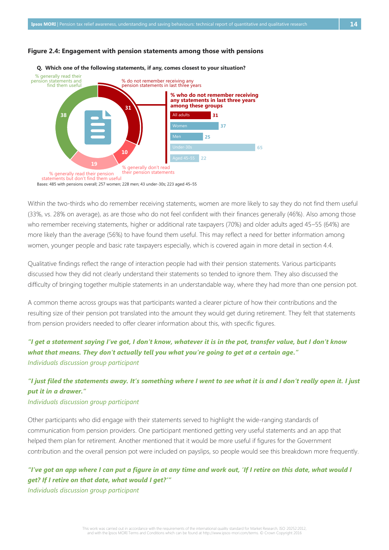#### <span id="page-18-0"></span>**Figure 2.4: Engagement with pension statements among those with pensions**



#### **Q. Which one of the following statements, if any, comes closest to your situation?**

Within the two-thirds who do remember receiving statements, women are more likely to say they do not find them useful (33%, vs. 28% on average), as are those who do not feel confident with their finances generally (46%). Also among those who remember receiving statements, higher or additional rate taxpayers (70%) and older adults aged 45–55 (64%) are more likely than the average (56%) to have found them useful. This may reflect a need for better information among women, younger people and basic rate taxpayers especially, which is covered again in more detail in section 4.4.

Qualitative findings reflect the range of interaction people had with their pension statements. Various participants discussed how they did not clearly understand their statements so tended to ignore them. They also discussed the difficulty of bringing together multiple statements in an understandable way, where they had more than one pension pot.

A common theme across groups was that participants wanted a clearer picture of how their contributions and the resulting size of their pension pot translated into the amount they would get during retirement. They felt that statements from pension providers needed to offer clearer information about this, with specific figures.

## *"I get a statement saying I've got, I don't know, whatever it is in the pot, transfer value, but I don't know what that means. They don't actually tell you what you're going to get at a certain age." Individuals discussion group participant*

## *"I just filed the statements away. It's something where I went to see what it is and I don't really open it. I just put it in a drawer."*

#### *Individuals discussion group participant*

Other participants who did engage with their statements served to highlight the wide-ranging standards of communication from pension providers. One participant mentioned getting very useful statements and an app that helped them plan for retirement. Another mentioned that it would be more useful if figures for the Government contribution and the overall pension pot were included on payslips, so people would see this breakdown more frequently.

## *"I've got an app where I can put a figure in at any time and work out, 'If I retire on this date, what would I get? If I retire on that date, what would I get?'"*

*Individuals discussion group participant*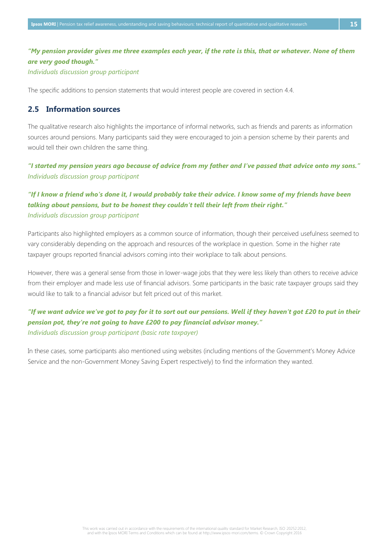## *"My pension provider gives me three examples each year, if the rate is this, that or whatever. None of them are very good though."*

*Individuals discussion group participant*

The specific additions to pension statements that would interest people are covered in section 4.4.

#### <span id="page-19-0"></span>**2.5 Information sources**

The qualitative research also highlights the importance of informal networks, such as friends and parents as information sources around pensions. Many participants said they were encouraged to join a pension scheme by their parents and would tell their own children the same thing.

*"I started my pension years ago because of advice from my father and I've passed that advice onto my sons." Individuals discussion group participant*

## *"If I know a friend who's done it, I would probably take their advice. I know some of my friends have been talking about pensions, but to be honest they couldn't tell their left from their right." Individuals discussion group participant*

Participants also highlighted employers as a common source of information, though their perceived usefulness seemed to vary considerably depending on the approach and resources of the workplace in question. Some in the higher rate taxpayer groups reported financial advisors coming into their workplace to talk about pensions.

However, there was a general sense from those in lower-wage jobs that they were less likely than others to receive advice from their employer and made less use of financial advisors. Some participants in the basic rate taxpayer groups said they would like to talk to a financial advisor but felt priced out of this market.

## *"If we want advice we've got to pay for it to sort out our pensions. Well if they haven't got £20 to put in their pension pot, they're not going to have £200 to pay financial advisor money." Individuals discussion group participant (basic rate taxpayer)*

In these cases, some participants also mentioned using websites (including mentions of the Government's Money Advice Service and the non-Government Money Saving Expert respectively) to find the information they wanted.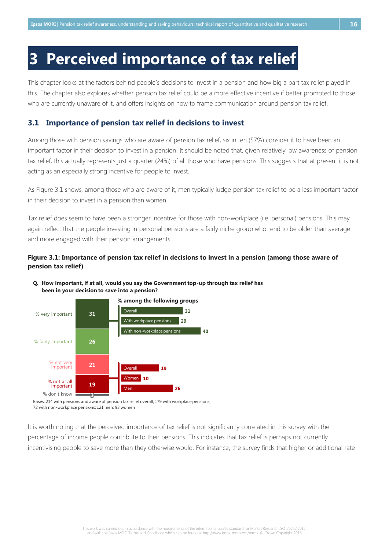## <span id="page-20-0"></span>**3 Perceived importance of tax relief**

This chapter looks at the factors behind people's decisions to invest in a pension and how big a part tax relief played in this. The chapter also explores whether pension tax relief could be a more effective incentive if better promoted to those who are currently unaware of it, and offers insights on how to frame communication around pension tax relief.

#### <span id="page-20-1"></span>**3.1 Importance of pension tax relief in decisions to invest**

Among those with pension savings who are aware of pension tax relief, six in ten (57%) consider it to have been an important factor in their decision to invest in a pension. It should be noted that, given relatively low awareness of pension tax relief, this actually represents just a quarter (24%) of all those who have pensions. This suggests that at present it is not acting as an especially strong incentive for people to invest.

As Figure 3.1 shows, among those who are aware of it, men typically judge pension tax relief to be a less important factor in their decision to invest in a pension than women.

Tax relief does seem to have been a stronger incentive for those with non-workplace (i.e. personal) pensions. This may again reflect that the people investing in personal pensions are a fairly niche group who tend to be older than average and more engaged with their pension arrangements.

#### <span id="page-20-2"></span>**Figure 3.1: Importance of pension tax relief in decisions to invest in a pension (among those aware of pension tax relief)**



**Q. How important, if at all, would you say the Government top-up through tax relief has been in your decision to save into a pension?**

Bases: 214 with pensions and aware of pension tax relief overall; 179 with workplace pensions; 72 with non-workplace pensions; 121 men; 93 women

It is worth noting that the perceived importance of tax relief is not significantly correlated in this survey with the percentage of income people contribute to their pensions. This indicates that tax relief is perhaps not currently incentivising people to save more than they otherwise would. For instance, the survey finds that higher or additional rate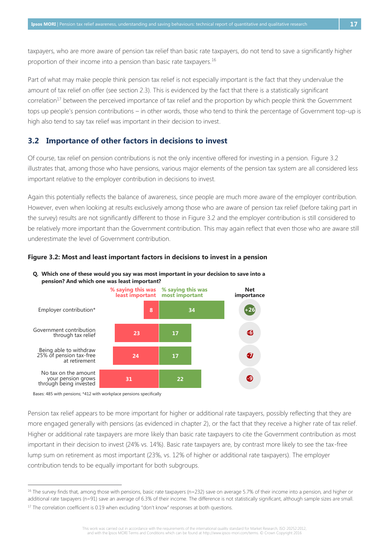taxpayers, who are more aware of pension tax relief than basic rate taxpayers, do not tend to save a significantly higher proportion of their income into a pension than basic rate taxpayers.<sup>16</sup>

Part of what may make people think pension tax relief is not especially important is the fact that they undervalue the amount of tax relief on offer (see section 2.3). This is evidenced by the fact that there is a statistically significant correlation<sup>17</sup> between the perceived importance of tax relief and the proportion by which people think the Government tops up people's pension contributions – in other words, those who tend to think the percentage of Government top-up is high also tend to say tax relief was important in their decision to invest.

#### <span id="page-21-0"></span>**3.2 Importance of other factors in decisions to invest**

Of course, tax relief on pension contributions is not the only incentive offered for investing in a pension. Figure 3.2 illustrates that, among those who have pensions, various major elements of the pension tax system are all considered less important relative to the employer contribution in decisions to invest.

Again this potentially reflects the balance of awareness, since people are much more aware of the employer contribution. However, even when looking at results exclusively among those who are aware of pension tax relief (before taking part in the survey) results are not significantly different to those in Figure 3.2 and the employer contribution is still considered to be relatively more important than the Government contribution. This may again reflect that even those who are aware still underestimate the level of Government contribution.



#### <span id="page-21-1"></span>**Figure 3.2: Most and least important factors in decisions to invest in a pension**

**Q. Which one of these would you say was most important in your decision to save into a pension? And which one was least important?**

Bases: 485 with pensions; \*412 with workplace pensions specifically

 $\overline{a}$ 

Pension tax relief appears to be more important for higher or additional rate taxpayers, possibly reflecting that they are more engaged generally with pensions (as evidenced in chapter 2), or the fact that they receive a higher rate of tax relief. Higher or additional rate taxpayers are more likely than basic rate taxpayers to cite the Government contribution as most important in their decision to invest (24% vs. 14%). Basic rate taxpayers are, by contrast more likely to see the tax-free lump sum on retirement as most important (23%, vs. 12% of higher or additional rate taxpayers). The employer contribution tends to be equally important for both subgroups.

 $16$  The survey finds that, among those with pensions, basic rate taxpayers (n=232) save on average 5.7% of their income into a pension, and higher or additional rate taxpayers (n=91) save an average of 6.3% of their income. The difference is not statistically significant, although sample sizes are small.

<sup>&</sup>lt;sup>17</sup> The correlation coefficient is 0.19 when excluding "don't know" responses at both questions.

This work was carried out in accordance with the requirements of the international quality standard for Market Research, ISO 20252:2012, and with the Ipsos MORI Terms and Conditions which can be found at http://www.ipsos-mori.com/terms. © Crown Copyright 2016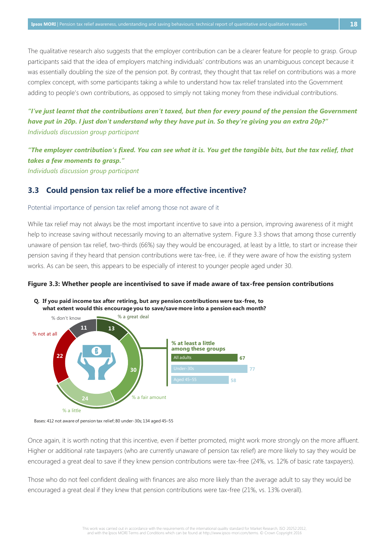The qualitative research also suggests that the employer contribution can be a clearer feature for people to grasp. Group participants said that the idea of employers matching individuals' contributions was an unambiguous concept because it was essentially doubling the size of the pension pot. By contrast, they thought that tax relief on contributions was a more complex concept, with some participants taking a while to understand how tax relief translated into the Government adding to people's own contributions, as opposed to simply not taking money from these individual contributions.

*"I've just learnt that the contributions aren't taxed, but then for every pound of the pension the Government have put in 20p. I just don't understand why they have put in. So they're giving you an extra 20p?" Individuals discussion group participant*

*"The employer contribution's fixed. You can see what it is. You get the tangible bits, but the tax relief, that takes a few moments to grasp." Individuals discussion group participant*

#### <span id="page-22-0"></span>**3.3 Could pension tax relief be a more effective incentive?**

#### Potential importance of pension tax relief among those not aware of it

While tax relief may not always be the most important incentive to save into a pension, improving awareness of it might help to increase saving without necessarily moving to an alternative system. Figure 3.3 shows that among those currently unaware of pension tax relief, two-thirds (66%) say they would be encouraged, at least by a little, to start or increase their pension saving if they heard that pension contributions were tax-free, i.e. if they were aware of how the existing system works. As can be seen, this appears to be especially of interest to younger people aged under 30.

#### <span id="page-22-1"></span>**Figure 3.3: Whether people are incentivised to save if made aware of tax-free pension contributions**







Once again, it is worth noting that this incentive, even if better promoted, might work more strongly on the more affluent. Higher or additional rate taxpayers (who are currently unaware of pension tax relief) are more likely to say they would be encouraged a great deal to save if they knew pension contributions were tax-free (24%, vs. 12% of basic rate taxpayers).

Those who do not feel confident dealing with finances are also more likely than the average adult to say they would be encouraged a great deal if they knew that pension contributions were tax-free (21%, vs. 13% overall).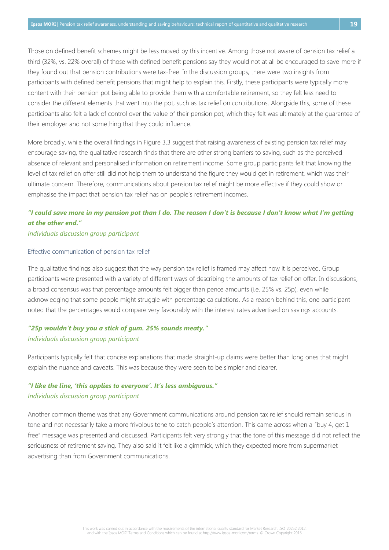Those on defined benefit schemes might be less moved by this incentive. Among those not aware of pension tax relief a third (32%, vs. 22% overall) of those with defined benefit pensions say they would not at all be encouraged to save more if they found out that pension contributions were tax-free. In the discussion groups, there were two insights from participants with defined benefit pensions that might help to explain this. Firstly, these participants were typically more content with their pension pot being able to provide them with a comfortable retirement, so they felt less need to consider the different elements that went into the pot, such as tax relief on contributions. Alongside this, some of these participants also felt a lack of control over the value of their pension pot, which they felt was ultimately at the guarantee of their employer and not something that they could influence.

More broadly, while the overall findings in Figure 3.3 suggest that raising awareness of existing pension tax relief may encourage saving, the qualitative research finds that there are other strong barriers to saving, such as the perceived absence of relevant and personalised information on retirement income. Some group participants felt that knowing the level of tax relief on offer still did not help them to understand the figure they would get in retirement, which was their ultimate concern. Therefore, communications about pension tax relief might be more effective if they could show or emphasise the impact that pension tax relief has on people's retirement incomes.

## *"I could save more in my pension pot than I do. The reason I don't is because I don't know what I'm getting at the other end."*

#### *Individuals discussion group participant*

#### Effective communication of pension tax relief

The qualitative findings also suggest that the way pension tax relief is framed may affect how it is perceived. Group participants were presented with a variety of different ways of describing the amounts of tax relief on offer. In discussions, a broad consensus was that percentage amounts felt bigger than pence amounts (i.e. 25% vs. 25p), even while acknowledging that some people might struggle with percentage calculations. As a reason behind this, one participant noted that the percentages would compare very favourably with the interest rates advertised on savings accounts.

## *"25p wouldn't buy you a stick of gum. 25% sounds meaty." Individuals discussion group participant*

Participants typically felt that concise explanations that made straight-up claims were better than long ones that might explain the nuance and caveats. This was because they were seen to be simpler and clearer.

### *"I like the line, 'this applies to everyone'. It's less ambiguous." Individuals discussion group participant*

Another common theme was that any Government communications around pension tax relief should remain serious in tone and not necessarily take a more frivolous tone to catch people's attention. This came across when a "buy 4, get 1 free" message was presented and discussed. Participants felt very strongly that the tone of this message did not reflect the seriousness of retirement saving. They also said it felt like a gimmick, which they expected more from supermarket advertising than from Government communications.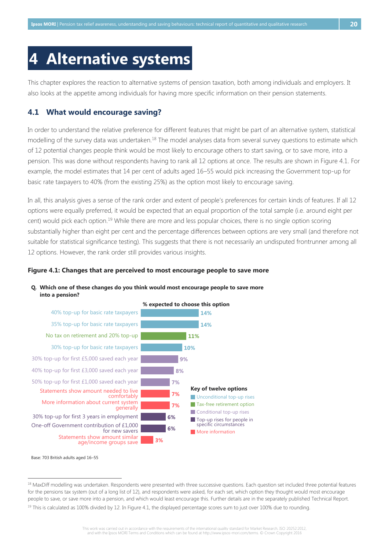## <span id="page-24-0"></span>**4 Alternative systems**

This chapter explores the reaction to alternative systems of pension taxation, both among individuals and employers. It also looks at the appetite among individuals for having more specific information on their pension statements.

### <span id="page-24-1"></span>**4.1 What would encourage saving?**

In order to understand the relative preference for different features that might be part of an alternative system, statistical modelling of the survey data was undertaken.<sup>18</sup> The model analyses data from several survey questions to estimate which of 12 potential changes people think would be most likely to encourage others to start saving, or to save more, into a pension. This was done without respondents having to rank all 12 options at once. The results are shown in Figure 4.1. For example, the model estimates that 14 per cent of adults aged 16–55 would pick increasing the Government top-up for basic rate taxpayers to 40% (from the existing 25%) as the option most likely to encourage saving.

In all, this analysis gives a sense of the rank order and extent of people's preferences for certain kinds of features. If all 12 options were equally preferred, it would be expected that an equal proportion of the total sample (i.e. around eight per cent) would pick each option.<sup>19</sup> While there are more and less popular choices, there is no single option scoring substantially higher than eight per cent and the percentage differences between options are very small (and therefore not suitable for statistical significance testing). This suggests that there is not necessarily an undisputed frontrunner among all 12 options. However, the rank order still provides various insights.

#### <span id="page-24-2"></span>**Figure 4.1: Changes that are perceived to most encourage people to save more**

#### **Q. Which one of these changes do you think would most encourage people to save more into a pension?**



Base: 703 British adults aged 16–55

<sup>18</sup> MaxDiff modelling was undertaken. Respondents were presented with three successive questions. Each question set included three potential features for the pensions tax system (out of a long list of 12), and respondents were asked, for each set, which option they thought would most encourage people to save, or save more into a pension, and which would least encourage this. Further details are in the separately published Technical Report.

<sup>&</sup>lt;sup>19</sup> This is calculated as 100% divided by 12. In Figure 4.1, the displayed percentage scores sum to just over 100% due to rounding.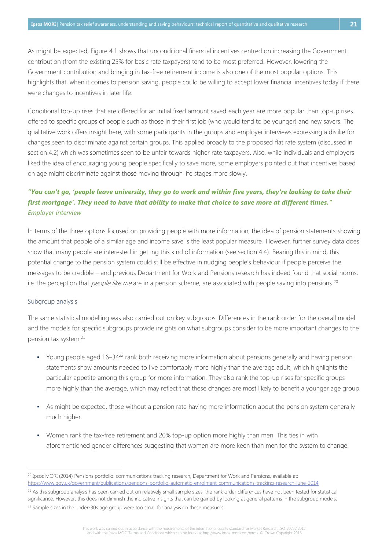As might be expected, Figure 4.1 shows that unconditional financial incentives centred on increasing the Government contribution (from the existing 25% for basic rate taxpayers) tend to be most preferred. However, lowering the Government contribution and bringing in tax-free retirement income is also one of the most popular options. This highlights that, when it comes to pension saving, people could be willing to accept lower financial incentives today if there were changes to incentives in later life.

Conditional top-up rises that are offered for an initial fixed amount saved each year are more popular than top-up rises offered to specific groups of people such as those in their first job (who would tend to be younger) and new savers. The qualitative work offers insight here, with some participants in the groups and employer interviews expressing a dislike for changes seen to discriminate against certain groups. This applied broadly to the proposed flat rate system (discussed in section 4.2) which was sometimes seen to be unfair towards higher rate taxpayers. Also, while individuals and employers liked the idea of encouraging young people specifically to save more, some employers pointed out that incentives based on age might discriminate against those moving through life stages more slowly.

## *"You can't go, 'people leave university, they go to work and within five years, they're looking to take their first mortgage'. They need to have that ability to make that choice to save more at different times." Employer interview*

In terms of the three options focused on providing people with more information, the idea of pension statements showing the amount that people of a similar age and income save is the least popular measure. However, further survey data does show that many people are interested in getting this kind of information (see section 4.4). Bearing this in mind, this potential change to the pension system could still be effective in nudging people's behaviour if people perceive the messages to be credible – and previous Department for Work and Pensions research has indeed found that social norms, i.e. the perception that people like me are in a pension scheme, are associated with people saving into pensions.<sup>20</sup>

#### Subgroup analysis

 $\overline{a}$ 

The same statistical modelling was also carried out on key subgroups. Differences in the rank order for the overall model and the models for specific subgroups provide insights on what subgroups consider to be more important changes to the pension tax system.<sup>21</sup>

- Young people aged  $16-34^{22}$  rank both receiving more information about pensions generally and having pension statements show amounts needed to live comfortably more highly than the average adult, which highlights the particular appetite among this group for more information. They also rank the top-up rises for specific groups more highly than the average, which may reflect that these changes are most likely to benefit a younger age group.
- As might be expected, those without a pension rate having more information about the pension system generally much higher.
- Women rank the tax-free retirement and 20% top-up option more highly than men. This ties in with aforementioned gender differences suggesting that women are more keen than men for the system to change.

This work was carried out in accordance with the requirements of the international quality standard for Market Research, ISO 20252:2012, and with the Ipsos MORI Terms and Conditions which can be found at http://www.ipsos-mori.com/terms. © Crown Copyright 2016

<sup>&</sup>lt;sup>20</sup> Ipsos MORI (2014) Pensions portfolio: communications tracking research, Department for Work and Pensions, available at: <https://www.gov.uk/government/publications/pensions-portfolio-automatic-enrolment-communications-tracking-research-june-2014>

 $^{21}$  As this subgroup analysis has been carried out on relatively small sample sizes, the rank order differences have not been tested for statistical significance. However, this does not diminish the indicative insights that can be gained by looking at general patterns in the subgroup models.

<sup>&</sup>lt;sup>22</sup> Sample sizes in the under-30s age group were too small for analysis on these measures.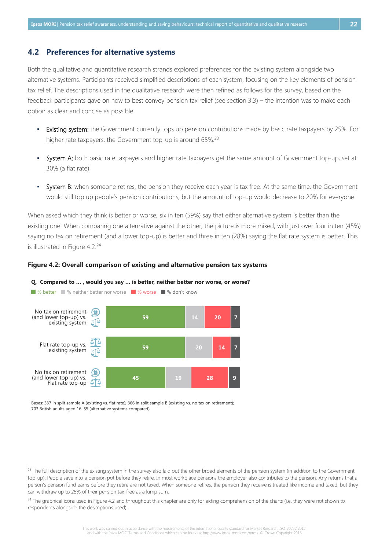#### <span id="page-26-0"></span>**4.2 Preferences for alternative systems**

Both the qualitative and quantitative research strands explored preferences for the existing system alongside two alternative systems. Participants received simplified descriptions of each system, focusing on the key elements of pension tax relief. The descriptions used in the qualitative research were then refined as follows for the survey, based on the feedback participants gave on how to best convey pension tax relief (see section 3.3) – the intention was to make each option as clear and concise as possible:

- . Existing system: the Government currently tops up pension contributions made by basic rate taxpayers by 25%. For higher rate taxpayers, the Government top-up is around 65%.<sup>23</sup>
- System A: both basic rate taxpayers and higher rate taxpayers get the same amount of Government top-up, set at 30% (a flat rate).
- System B: when someone retires, the pension they receive each year is tax free. At the same time, the Government would still top up people's pension contributions, but the amount of top-up would decrease to 20% for everyone.

When asked which they think is better or worse, six in ten (59%) say that either alternative system is better than the existing one. When comparing one alternative against the other, the picture is more mixed, with just over four in ten (45%) saying no tax on retirement (and a lower top-up) is better and three in ten (28%) saying the flat rate system is better. This is illustrated in Figure 4.2.<sup>24</sup>

<span id="page-26-1"></span>



**Q. Compared to … , would you say … is better, neither better nor worse, or worse?**

Bases: 337 in split sample A (existing vs. flat rate); 366 in split sample B (existing vs. no tax on retirement); 703 British adults aged 16–55 (alternative systems compared)

<sup>&</sup>lt;sup>23</sup> The full description of the existing system in the survey also laid out the other broad elements of the pension system (in addition to the Government top-up): People save into a pension pot before they retire. In most workplace pensions the employer also contributes to the pension. Any returns that a person's pension fund earns before they retire are not taxed. When someone retires, the pension they receive is treated like income and taxed, but they can withdraw up to 25% of their pension tax-free as a lump sum.

<sup>&</sup>lt;sup>24</sup> The graphical icons used in Figure 4.2 and throughout this chapter are only for aiding comprehension of the charts (i.e. they were not shown to respondents alongside the descriptions used).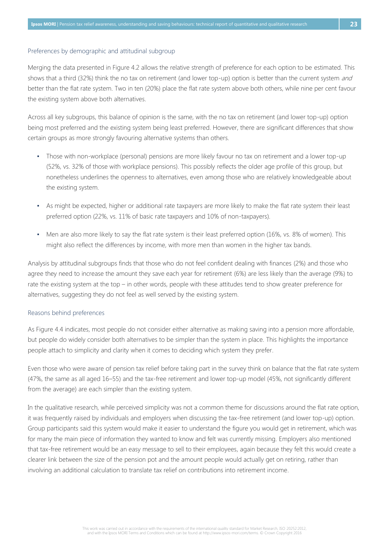#### Preferences by demographic and attitudinal subgroup

Merging the data presented in Figure 4.2 allows the relative strength of preference for each option to be estimated. This shows that a third (32%) think the no tax on retirement (and lower top-up) option is better than the current system and better than the flat rate system. Two in ten (20%) place the flat rate system above both others, while nine per cent favour the existing system above both alternatives.

Across all key subgroups, this balance of opinion is the same, with the no tax on retirement (and lower top-up) option being most preferred and the existing system being least preferred. However, there are significant differences that show certain groups as more strongly favouring alternative systems than others.

- Those with non-workplace (personal) pensions are more likely favour no tax on retirement and a lower top-up (52%, vs. 32% of those with workplace pensions). This possibly reflects the older age profile of this group, but nonetheless underlines the openness to alternatives, even among those who are relatively knowledgeable about the existing system.
- As might be expected, higher or additional rate taxpayers are more likely to make the flat rate system their least preferred option (22%, vs. 11% of basic rate taxpayers and 10% of non-taxpayers).
- Men are also more likely to say the flat rate system is their least preferred option (16%, vs. 8% of women). This might also reflect the differences by income, with more men than women in the higher tax bands.

Analysis by attitudinal subgroups finds that those who do not feel confident dealing with finances (2%) and those who agree they need to increase the amount they save each year for retirement (6%) are less likely than the average (9%) to rate the existing system at the top – in other words, people with these attitudes tend to show greater preference for alternatives, suggesting they do not feel as well served by the existing system.

#### Reasons behind preferences

As Figure 4.4 indicates, most people do not consider either alternative as making saving into a pension more affordable, but people do widely consider both alternatives to be simpler than the system in place. This highlights the importance people attach to simplicity and clarity when it comes to deciding which system they prefer.

Even those who were aware of pension tax relief before taking part in the survey think on balance that the flat rate system (47%, the same as all aged 16–55) and the tax-free retirement and lower top-up model (45%, not significantly different from the average) are each simpler than the existing system.

In the qualitative research, while perceived simplicity was not a common theme for discussions around the flat rate option, it was frequently raised by individuals and employers when discussing the tax-free retirement (and lower top-up) option. Group participants said this system would make it easier to understand the figure you would get in retirement, which was for many the main piece of information they wanted to know and felt was currently missing. Employers also mentioned that tax-free retirement would be an easy message to sell to their employees, again because they felt this would create a clearer link between the size of the pension pot and the amount people would actually get on retiring, rather than involving an additional calculation to translate tax relief on contributions into retirement income.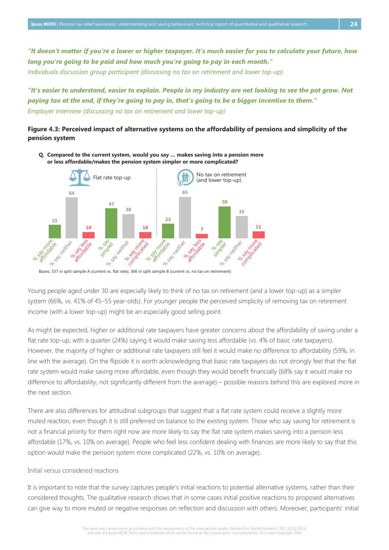*long you're going to be paid and how much you're going to pay in each month." Individuals discussion group participant (discussing no tax on retirement and lower top-up)*

*"It's easier to understand, easier to explain. People in my industry are not looking to see the pot grow. Not paying tax at the end, if they're going to pay in, that's going to be a bigger incentive to them." Employer interview (discussing no tax on retirement and lower top-up)*

#### <span id="page-28-0"></span>**Figure 4.3: Perceived impact of alternative systems on the affordability of pensions and simplicity of the pension system**



**Q. Compared to the current system, would you say … makes saving into a pension more or less affordable/makes the pension system simpler or more complicated?**

Young people aged under 30 are especially likely to think of no tax on retirement (and a lower top-up) as a simpler system (66%, vs. 41% of 45–55 year-olds). For younger people the perceived simplicity of removing tax on retirement income (with a lower top-up) might be an especially good selling point.

As might be expected, higher or additional rate taxpayers have greater concerns about the affordability of saving under a flat rate top-up, with a quarter (24%) saying it would make saving less affordable (vs. 4% of basic rate taxpayers). However, the majority of higher or additional rate taxpayers still feel it would make no difference to affordability (59%, in line with the average). On the flipside it is worth acknowledging that basic rate taxpayers do not strongly feel that the flat rate system would make saving more affordable, even though they would benefit financially (68% say it would make no difference to affordability, not significantly different from the average) – possible reasons behind this are explored more in the next section.

There are also differences for attitudinal subgroups that suggest that a flat rate system could receive a slightly more muted reaction, even though it is still preferred on balance to the existing system. Those who say saving for retirement is not a financial priority for them right now are more likely to say the flat rate system makes saving into a pension less affordable (17%, vs. 10% on average). People who feel less confident dealing with finances are more likely to say that this option would make the pension system more complicated (22%, vs. 10% on average).

#### Initial versus considered reactions

It is important to note that the survey captures people's initial reactions to potential alternative systems, rather than their considered thoughts. The qualitative research shows that in some cases initial positive reactions to proposed alternatives can give way to more muted or negative responses on reflection and discussion with others. Moreover, participants' initial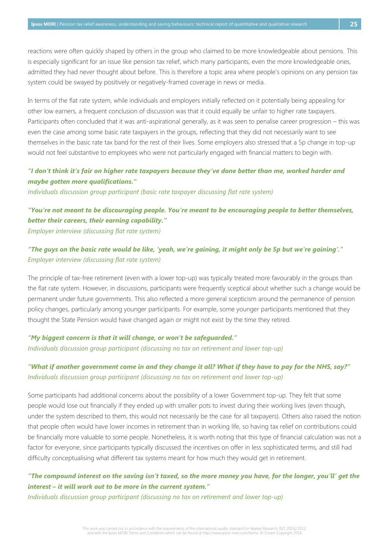reactions were often quickly shaped by others in the group who claimed to be more knowledgeable about pensions. This is especially significant for an issue like pension tax relief, which many participants, even the more knowledgeable ones, admitted they had never thought about before. This is therefore a topic area where people's opinions on any pension tax system could be swayed by positively or negatively-framed coverage in news or media.

In terms of the flat rate system, while individuals and employers initially reflected on it potentially being appealing for other low earners, a frequent conclusion of discussion was that it could equally be unfair to higher rate taxpayers. Participants often concluded that it was anti-aspirational generally, as it was seen to penalise career progression – this was even the case among some basic rate taxpayers in the groups, reflecting that they did not necessarily want to see themselves in the basic rate tax band for the rest of their lives. Some employers also stressed that a 5p change in top-up would not feel substantive to employees who were not particularly engaged with financial matters to begin with.

### *"I don't think it's fair on higher rate taxpayers because they've done better than me, worked harder and maybe gotten more qualifications."*

*Individuals discussion group participant (basic rate taxpayer discussing flat rate system)*

## *"You're not meant to be discouraging people. You're meant to be encouraging people to better themselves, better their careers, their earning capability."*

*Employer interview (discussing flat rate system)*

## *"The guys on the basic rate would be like, 'yeah, we're gaining, it might only be 5p but we're gaining'." Employer interview (discussing flat rate system)*

The principle of tax-free retirement (even with a lower top-up) was typically treated more favourably in the groups than the flat rate system. However, in discussions, participants were frequently sceptical about whether such a change would be permanent under future governments. This also reflected a more general scepticism around the permanence of pension policy changes, particularly among younger participants. For example, some younger participants mentioned that they thought the State Pension would have changed again or might not exist by the time they retired.

#### *"My biggest concern is that it will change, or won't be safeguarded." Individuals discussion group participant (discussing no tax on retirement and lower top-up)*

### *"What if another government come in and they change it all? What if they have to pay for the NHS, say?" Individuals discussion group participant (discussing no tax on retirement and lower top-up)*

Some participants had additional concerns about the possibility of a lower Government top-up. They felt that some people would lose out financially if they ended up with smaller pots to invest during their working lives (even though, under the system described to them, this would not necessarily be the case for all taxpayers). Others also raised the notion that people often would have lower incomes in retirement than in working life, so having tax relief on contributions could be financially more valuable to some people. Nonetheless, it is worth noting that this type of financial calculation was not a factor for everyone, since participants typically discussed the incentives on offer in less sophisticated terms, and still had difficulty conceptualising what different tax systems meant for how much they would get in retirement.

### *"The compound interest on the saving isn't taxed, so the more money you have, for the longer, you'll' get the interest – it will work out to be more in the current system."*

*Individuals discussion group participant (discussing no tax on retirement and lower top-up)*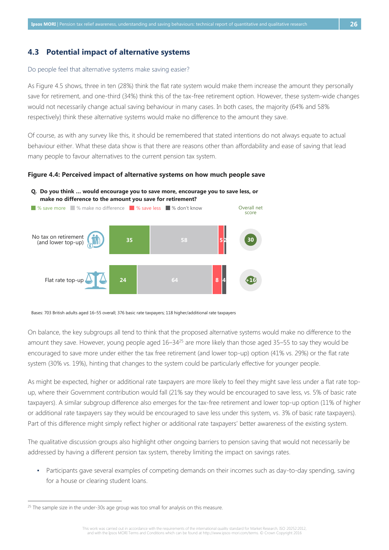#### <span id="page-30-0"></span>**4.3 Potential impact of alternative systems**

#### Do people feel that alternative systems make saving easier?

As Figure 4.5 shows, three in ten (28%) think the flat rate system would make them increase the amount they personally save for retirement, and one-third (34%) think this of the tax-free retirement option. However, these system-wide changes would not necessarily change actual saving behaviour in many cases. In both cases, the majority (64% and 58% respectively) think these alternative systems would make no difference to the amount they save.

Of course, as with any survey like this, it should be remembered that stated intentions do not always equate to actual behaviour either. What these data show is that there are reasons other than affordability and ease of saving that lead many people to favour alternatives to the current pension tax system.

#### <span id="page-30-1"></span>**Figure 4.4: Perceived impact of alternative systems on how much people save**



**Q. Do you think … would encourage you to save more, encourage you to save less, or make no difference to the amount you save for retirement?**

Bases: 703 British adults aged 16–55 overall; 376 basic rate taxpayers; 118 higher/additional rate taxpayers

On balance, the key subgroups all tend to think that the proposed alternative systems would make no difference to the amount they save. However, young people aged  $16-34^{25}$  are more likely than those aged 35–55 to say they would be encouraged to save more under either the tax free retirement (and lower top-up) option (41% vs. 29%) or the flat rate system (30% vs. 19%), hinting that changes to the system could be particularly effective for younger people.

As might be expected, higher or additional rate taxpayers are more likely to feel they might save less under a flat rate topup, where their Government contribution would fall (21% say they would be encouraged to save less, vs. 5% of basic rate taxpayers). A similar subgroup difference also emerges for the tax-free retirement and lower top-up option (11% of higher or additional rate taxpayers say they would be encouraged to save less under this system, vs. 3% of basic rate taxpayers). Part of this difference might simply reflect higher or additional rate taxpayers' better awareness of the existing system.

The qualitative discussion groups also highlight other ongoing barriers to pension saving that would not necessarily be addressed by having a different pension tax system, thereby limiting the impact on savings rates.

▪ Participants gave several examples of competing demands on their incomes such as day-to-day spending, saving for a house or clearing student loans.

 $25$  The sample size in the under-30s age group was too small for analysis on this measure.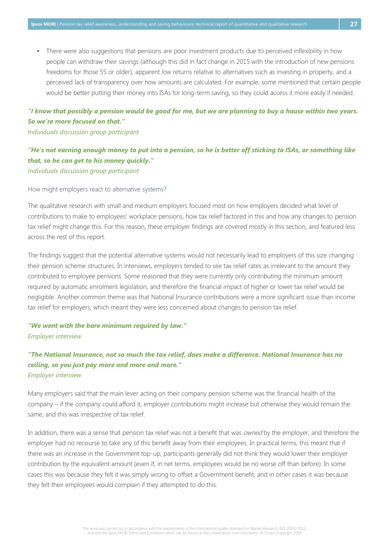▪ There were also suggestions that pensions are poor investment products due to perceived inflexibility in how people can withdraw their savings (although this did in fact change in 2015 with the introduction of new pensions freedoms for those 55 or older), apparent low returns relative to alternatives such as investing in property, and a perceived lack of transparency over how amounts are calculated. For example, some mentioned that certain people would be better putting their money into ISAs for long-term saving, so they could access it more easily if needed.

## *"I know that possibly a pension would be good for me, but we are planning to buy a house within two years. So we're more focused on that."*

#### *Individuals discussion group participant*

## *"He's not earning enough money to put into a pension, so he is better off sticking to ISAs, or something like that, so he can get to his money quickly."*

*Individuals discussion group participant*

#### How might employers react to alternative systems?

The qualitative research with small and medium employers focused most on how employers decided what level of contributions to make to employees' workplace pensions, how tax relief factored in this and how any changes to pension tax relief might change this. For this reason, these employer findings are covered mostly in this section, and featured less across the rest of this report.

The findings suggest that the potential alternative systems would not necessarily lead to employers of this size changing their pension scheme structures. In interviews, employers tended to see tax relief rates as irrelevant to the amount they contributed to employee pensions. Some reasoned that they were currently only contributing the minimum amount required by automatic enrolment legislation, and therefore the financial impact of higher or lower tax relief would be negligible. Another common theme was that National Insurance contributions were a more significant issue than income tax relief for employers, which meant they were less concerned about changes to pension tax relief.

## *"We went with the bare minimum required by law." Employer interview*

## *"The National Insurance, not so much the tax relief, does make a difference. National Insurance has no ceiling, so you just pay more and more and more." Employer interview*

Many employers said that the main lever acting on their company pension scheme was the financial health of the company – if the company could afford it, employer contributions might increase but otherwise they would remain the same, and this was irrespective of tax relief.

In addition, there was a sense that pension tax relief was not a benefit that was *owned* by the employer, and therefore the employer had no recourse to take any of this benefit away from their employees. In practical terms, this meant that if there was an increase in the Government top-up, participants generally did not think they would lower their employer contribution by the equivalent amount (even if, in net terms, employees would be no worse off than before). In some cases this was because they felt it was simply wrong to offset a Government benefit, and in other cases it was because they felt their employees would complain if they attempted to do this.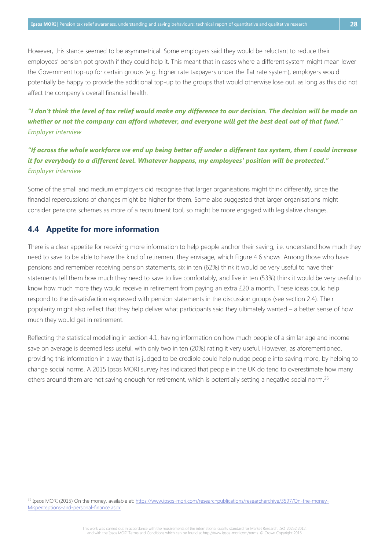However, this stance seemed to be asymmetrical. Some employers said they would be reluctant to reduce their employees' pension pot growth if they could help it. This meant that in cases where a different system might mean lower the Government top-up for certain groups (e.g. higher rate taxpayers under the flat rate system), employers would potentially be happy to provide the additional top-up to the groups that would otherwise lose out, as long as this did not affect the company's overall financial health.

## *"I don't think the level of tax relief would make any difference to our decision. The decision will be made on whether or not the company can afford whatever, and everyone will get the best deal out of that fund." Employer interview*

## *"If across the whole workforce we end up being better off under a different tax system, then I could increase it for everybody to a different level. Whatever happens, my employees' position will be protected." Employer interview*

Some of the small and medium employers did recognise that larger organisations might think differently, since the financial repercussions of changes might be higher for them. Some also suggested that larger organisations might consider pensions schemes as more of a recruitment tool, so might be more engaged with legislative changes.

## <span id="page-32-0"></span>**4.4 Appetite for more information**

 $\overline{a}$ 

There is a clear appetite for receiving more information to help people anchor their saving, i.e. understand how much they need to save to be able to have the kind of retirement they envisage, which Figure 4.6 shows. Among those who have pensions and remember receiving pension statements, six in ten (62%) think it would be very useful to have their statements tell them how much they need to save to live comfortably, and five in ten (53%) think it would be very useful to know how much more they would receive in retirement from paying an extra £20 a month. These ideas could help respond to the dissatisfaction expressed with pension statements in the discussion groups (see section 2.4). Their popularity might also reflect that they help deliver what participants said they ultimately wanted – a better sense of how much they would get in retirement.

Reflecting the statistical modelling in section 4.1, having information on how much people of a similar age and income save on average is deemed less useful, with only two in ten (20%) rating it very useful. However, as aforementioned, providing this information in a way that is judged to be credible could help nudge people into saving more, by helping to change social norms. A 2015 Ipsos MORI survey has indicated that people in the UK do tend to overestimate how many others around them are not saving enough for retirement, which is potentially setting a negative social norm.<sup>26</sup>

<sup>&</sup>lt;sup>26</sup> Ipsos MORI (2015) On the money, available at[: https://www.ipsos-mori.com/researchpublications/researcharchive/3597/On-the-money-](https://www.ipsos-mori.com/researchpublications/researcharchive/3597/On-the-money-Misperceptions-and-personal-finance.aspx)[Misperceptions-and-personal-finance.aspx.](https://www.ipsos-mori.com/researchpublications/researcharchive/3597/On-the-money-Misperceptions-and-personal-finance.aspx)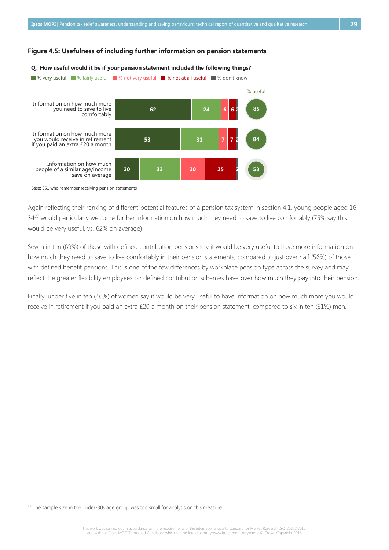#### <span id="page-33-0"></span>**Figure 4.5: Usefulness of including further information on pension statements**



Base: 351 who remember receiving pension statements

Again reflecting their ranking of different potential features of a pension tax system in section 4.1, young people aged 16– 34<sup>27</sup> would particularly welcome further information on how much they need to save to live comfortably (75% say this would be very useful, vs. 62% on average).

Seven in ten (69%) of those with defined contribution pensions say it would be very useful to have more information on how much they need to save to live comfortably in their pension statements, compared to just over half (56%) of those with defined benefit pensions. This is one of the few differences by workplace pension type across the survey and may reflect the greater flexibility employees on defined contribution schemes have over how much they pay into their pension.

Finally, under five in ten (46%) of women say it would be very useful to have information on how much more you would receive in retirement if you paid an extra £20 a month on their pension statement, compared to six in ten (61%) men.

 $27$  The sample size in the under-30s age group was too small for analysis on this measure.

This work was carried out in accordance with the requirements of the international quality standard for Market Research, ISO 20252:2012, and with the Ipsos MORI Terms and Conditions which can be found at http://www.ipsos-mori.com/terms. © Crown Copyright 2016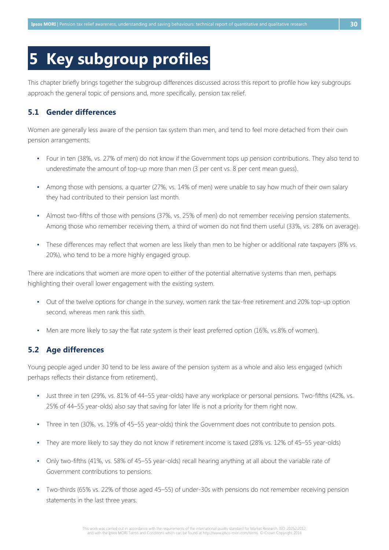## <span id="page-34-0"></span>**5 Key subgroup profiles**

This chapter briefly brings together the subgroup differences discussed across this report to profile how key subgroups approach the general topic of pensions and, more specifically, pension tax relief.

## <span id="page-34-1"></span>**5.1 Gender differences**

Women are generally less aware of the pension tax system than men, and tend to feel more detached from their own pension arrangements.

- Four in ten (38%, vs. 27% of men) do not know if the Government tops up pension contributions. They also tend to underestimate the amount of top-up more than men (3 per cent vs. 8 per cent mean guess).
- Among those with pensions, a quarter (27%, vs. 14% of men) were unable to say how much of their own salary they had contributed to their pension last month.
- Almost two-fifths of those with pensions (37%, vs. 25% of men) do not remember receiving pension statements. Among those who remember receiving them, a third of women do not find them useful (33%, vs. 28% on average).
- These differences may reflect that women are less likely than men to be higher or additional rate taxpayers (8% vs. 20%), who tend to be a more highly engaged group.

There are indications that women are more open to either of the potential alternative systems than men, perhaps highlighting their overall lower engagement with the existing system.

- Out of the twelve options for change in the survey, women rank the tax-free retirement and 20% top-up option second, whereas men rank this sixth.
- Men are more likely to say the flat rate system is their least preferred option (16%, vs.8% of women).

## <span id="page-34-2"></span>**5.2 Age differences**

Young people aged under 30 tend to be less aware of the pension system as a whole and also less engaged (which perhaps reflects their distance from retirement).

- Just three in ten (29%, vs. 81% of 44–55 year-olds) have any workplace or personal pensions. Two-fifths (42%, vs. 25% of 44–55 year-olds) also say that saving for later life is not a priority for them right now.
- Three in ten (30%, vs. 19% of 45–55 year-olds) think the Government does not contribute to pension pots.
- They are more likely to say they do not know if retirement income is taxed (28% vs. 12% of 45–55 year-olds)
- Only two-fifths (41%, vs. 58% of 45–55 year-olds) recall hearing anything at all about the variable rate of Government contributions to pensions.
- Two-thirds (65% vs. 22% of those aged 45–55) of under-30s with pensions do not remember receiving pension statements in the last three years.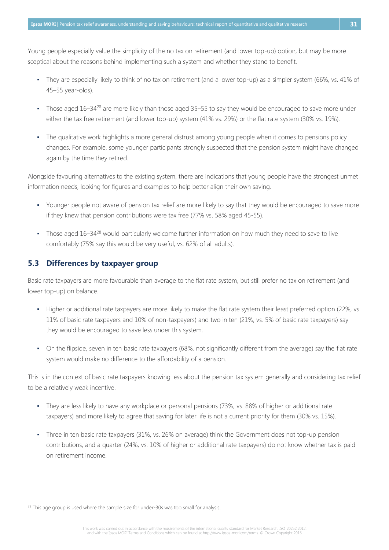Young people especially value the simplicity of the no tax on retirement (and lower top-up) option, but may be more sceptical about the reasons behind implementing such a system and whether they stand to benefit.

- They are especially likely to think of no tax on retirement (and a lower top-up) as a simpler system (66%, vs. 41% of 45–55 year-olds).
- <span id="page-35-1"></span>• Those aged 16–34<sup>28</sup> are more likely than those aged 35–55 to say they would be encouraged to save more under either the tax free retirement (and lower top-up) system (41% vs. 29%) or the flat rate system (30% vs. 19%).
- The qualitative work highlights a more general distrust among young people when it comes to pensions policy changes. For example, some younger participants strongly suspected that the pension system might have changed again by the time they retired.

Alongside favouring alternatives to the existing system, there are indications that young people have the strongest unmet information needs, looking for figures and examples to help better align their own saving.

- Younger people not aware of pension tax relief are more likely to say that they would be encouraged to save more if they knew that pension contributions were tax free (77% vs. 58% aged 45-55).
- Those aged 16–34<sup>[28](#page-35-1)</sup> would particularly welcome further information on how much they need to save to live comfortably (75% say this would be very useful, vs. 62% of all adults).

## <span id="page-35-0"></span>**5.3 Differences by taxpayer group**

Basic rate taxpayers are more favourable than average to the flat rate system, but still prefer no tax on retirement (and lower top-up) on balance.

- Higher or additional rate taxpayers are more likely to make the flat rate system their least preferred option (22%, vs. 11% of basic rate taxpayers and 10% of non-taxpayers) and two in ten (21%, vs. 5% of basic rate taxpayers) say they would be encouraged to save less under this system.
- On the flipside, seven in ten basic rate taxpayers (68%, not significantly different from the average) say the flat rate system would make no difference to the affordability of a pension.

This is in the context of basic rate taxpayers knowing less about the pension tax system generally and considering tax relief to be a relatively weak incentive.

- They are less likely to have any workplace or personal pensions (73%, vs. 88% of higher or additional rate taxpayers) and more likely to agree that saving for later life is not a current priority for them (30% vs. 15%).
- Three in ten basic rate taxpayers (31%, vs. 26% on average) think the Government does not top-up pension contributions, and a quarter (24%, vs. 10% of higher or additional rate taxpayers) do not know whether tax is paid on retirement income.

<sup>&</sup>lt;sup>28</sup> This age group is used where the sample size for under-30s was too small for analysis.

This work was carried out in accordance with the requirements of the international quality standard for Market Research, ISO 20252:2012,<br>This work was and Sonditions which can be found at http://www.ipsos-mori.com/terms. ©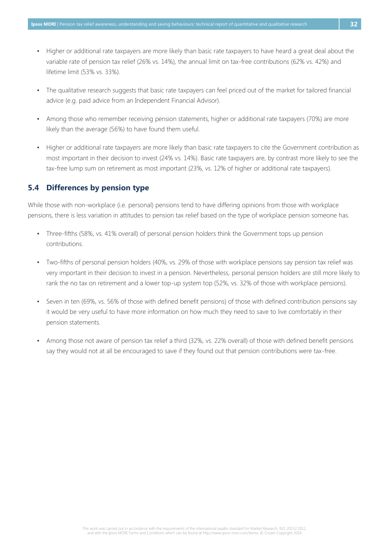- Higher or additional rate taxpayers are more likely than basic rate taxpayers to have heard a great deal about the variable rate of pension tax relief (26% vs. 14%), the annual limit on tax-free contributions (62% vs. 42%) and lifetime limit (53% vs. 33%).
- The qualitative research suggests that basic rate taxpayers can feel priced out of the market for tailored financial advice (e.g. paid advice from an Independent Financial Advisor).
- Among those who remember receiving pension statements, higher or additional rate taxpayers (70%) are more likely than the average (56%) to have found them useful.
- Higher or additional rate taxpayers are more likely than basic rate taxpayers to cite the Government contribution as most important in their decision to invest (24% vs. 14%). Basic rate taxpayers are, by contrast more likely to see the tax-free lump sum on retirement as most important (23%, vs. 12% of higher or additional rate taxpayers).

#### <span id="page-36-0"></span>**5.4 Differences by pension type**

While those with non-workplace (i.e. personal) pensions tend to have differing opinions from those with workplace pensions, there is less variation in attitudes to pension tax relief based on the type of workplace pension someone has.

- Three-fifths (58%, vs. 41% overall) of personal pension holders think the Government tops up pension contributions.
- Two-fifths of personal pension holders (40%, vs. 29% of those with workplace pensions say pension tax relief was very important in their decision to invest in a pension. Nevertheless, personal pension holders are still more likely to rank the no tax on retirement and a lower top-up system top (52%, vs. 32% of those with workplace pensions).
- Seven in ten (69%, vs. 56% of those with defined benefit pensions) of those with defined contribution pensions say it would be very useful to have more information on how much they need to save to live comfortably in their pension statements.
- Among those not aware of pension tax relief a third (32%, vs. 22% overall) of those with defined benefit pensions say they would not at all be encouraged to save if they found out that pension contributions were tax-free.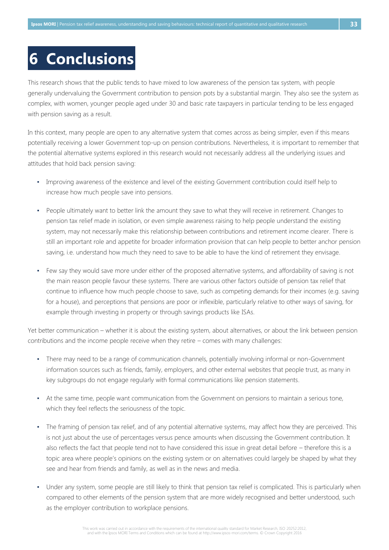## <span id="page-37-0"></span>**6 Conclusions**

This research shows that the public tends to have mixed to low awareness of the pension tax system, with people generally undervaluing the Government contribution to pension pots by a substantial margin. They also see the system as complex, with women, younger people aged under 30 and basic rate taxpayers in particular tending to be less engaged with pension saving as a result.

In this context, many people are open to any alternative system that comes across as being simpler, even if this means potentially receiving a lower Government top-up on pension contributions. Nevertheless, it is important to remember that the potential alternative systems explored in this research would not necessarily address all the underlying issues and attitudes that hold back pension saving:

- Improving awareness of the existence and level of the existing Government contribution could itself help to increase how much people save into pensions.
- People ultimately want to better link the amount they save to what they will receive in retirement. Changes to pension tax relief made in isolation, or even simple awareness raising to help people understand the existing system, may not necessarily make this relationship between contributions and retirement income clearer. There is still an important role and appetite for broader information provision that can help people to better anchor pension saving, i.e. understand how much they need to save to be able to have the kind of retirement they envisage.
- Few say they would save more under either of the proposed alternative systems, and affordability of saving is not the main reason people favour these systems. There are various other factors outside of pension tax relief that continue to influence how much people choose to save, such as competing demands for their incomes (e.g. saving for a house), and perceptions that pensions are poor or inflexible, particularly relative to other ways of saving, for example through investing in property or through savings products like ISAs.

Yet better communication – whether it is about the existing system, about alternatives, or about the link between pension contributions and the income people receive when they retire – comes with many challenges:

- There may need to be a range of communication channels, potentially involving informal or non-Government information sources such as friends, family, employers, and other external websites that people trust, as many in key subgroups do not engage regularly with formal communications like pension statements.
- At the same time, people want communication from the Government on pensions to maintain a serious tone, which they feel reflects the seriousness of the topic.
- The framing of pension tax relief, and of any potential alternative systems, may affect how they are perceived. This is not just about the use of percentages versus pence amounts when discussing the Government contribution. It also reflects the fact that people tend not to have considered this issue in great detail before – therefore this is a topic area where people's opinions on the existing system or on alternatives could largely be shaped by what they see and hear from friends and family, as well as in the news and media.
- Under any system, some people are still likely to think that pension tax relief is complicated. This is particularly when compared to other elements of the pension system that are more widely recognised and better understood, such as the employer contribution to workplace pensions.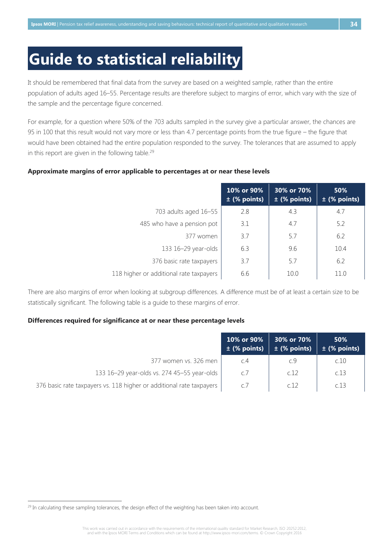## <span id="page-38-0"></span>**Guide to statistical reliability**

It should be remembered that final data from the survey are based on a weighted sample, rather than the entire population of adults aged 16–55. Percentage results are therefore subject to margins of error, which vary with the size of the sample and the percentage figure concerned.

For example, for a question where 50% of the 703 adults sampled in the survey give a particular answer, the chances are 95 in 100 that this result would not vary more or less than 4.7 percentage points from the true figure – the figure that would have been obtained had the entire population responded to the survey. The tolerances that are assumed to apply in this report are given in the following table.<sup>29</sup>

#### <span id="page-38-1"></span>**Approximate margins of error applicable to percentages at or near these levels**

|                                         | 10% or 90%<br>$\pm$ (% points) | 30% or 70%<br>$\pm$ (% points) | 50%<br>$\pm$ (% points) |
|-----------------------------------------|--------------------------------|--------------------------------|-------------------------|
| 703 adults aged 16-55                   | 2.8                            | 4.3                            | 4.7                     |
| 485 who have a pension pot              | 3.1                            | 4.7                            | 5.2                     |
| 377 women                               | 3.7                            | 5.7                            | 6.2                     |
| 133 16-29 year-olds                     | 6.3                            | 9.6                            | 10.4                    |
| 376 basic rate taxpayers                | 3.7                            | 5.7                            | 6.2                     |
| 118 higher or additional rate taxpayers | 6.6                            | 10.0                           | 11.0                    |

There are also margins of error when looking at subgroup differences. A difference must be of at least a certain size to be statistically significant. The following table is a guide to these margins of error.

#### <span id="page-38-2"></span>**Differences required for significance at or near these percentage levels**

|                                                                      | 10% or 90%<br>$\pm$ (% points) | 30% or 70%<br>$\pm$ (% points) | 50%<br>$\pm$ (% points) |
|----------------------------------------------------------------------|--------------------------------|--------------------------------|-------------------------|
| 377 women vs. 326 men                                                | C.4                            | c.9                            | c.10                    |
| 133 16-29 year-olds vs. 274 45-55 year-olds                          | c.7                            | c.12                           | C.13                    |
| 376 basic rate taxpayers vs. 118 higher or additional rate taxpayers | c.7                            | c12                            | r 13                    |

 $29$  In calculating these sampling tolerances, the design effect of the weighting has been taken into account.

This work was carried out in accordance with the requirements of the international quality standard for Market Research, ISO 20252:2012, and with the Ipsos MORI Terms and Conditions which can be found at http://www.ipsos-mori.com/terms. © Crown Copyright 2016